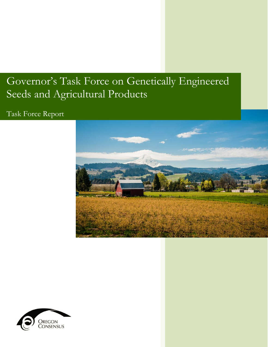# Governor's Task Force on Genetically Engineered Seeds and Agricultural Products

# Task Force Report



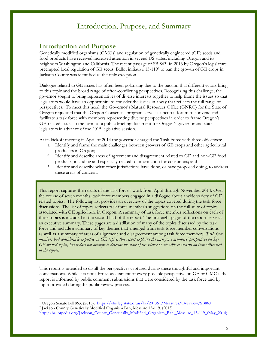### **Introduction and Purpose**

Genetically modified organisms (GMOs) and regulation of genetically engineered (GE) seeds and food products have received increased attention in several US states, including Oregon and its neighbors Washington and California. The recent passage of SB 863<sup>1</sup> in 2013 by Oregon's legislature preempted local regulation of GE seeds. Ballot initiative 15-119<sup>2</sup> to ban the growth of GE crops in Jackson County was identified as the only exception.

Dialogue related to GE issues has often been polarizing due to the passion that different actors bring to this topic and the broad range of often-conflicting perspectives. Recognizing this challenge, the governor sought to bring representatives of diverse interests together to help frame the issues so that legislators would have an opportunity to consider the issues in a way that reflects the full range of perspectives. To meet this need, the Governor's Natural Resources Office (GNRO) for the State of Oregon requested that the Oregon Consensus program serve as a neutral forum to convene and facilitate a task force with members representing diverse perspectives in order to frame Oregon's GE-related issues in the form of a public briefing document for Oregon's governor and state legislators in advance of the 2015 legislative session.

At its kickoff meeting in April of 2014 the governor charged the Task Force with three objectives:

- 1. Identify and frame the main challenges between growers of GE crops and other agricultural producers in Oregon;
- 2. Identify and describe areas of agreement and disagreement related to GE and non-GE food products, including and especially related to information for consumers; and
- 3. Identify and describe what other jurisdictions have done, or have proposed doing, to address these areas of concern.

This report captures the results of the task force's work from April through November 2014. Over the course of seven months, task force members engaged in a dialogue about a wide variety of GE related topics. The following list provides an overview of the topics covered during the task force discussions. The list of topics reflects task force member's suggestions on the full suite of topics associated with GE agriculture in Oregon. A summary of task force member reflections on each of these topics is included in the second half of the report. The first eight pages of the report serve as an executive summary. These pages are a distillation of many of the topics discussed by the task force and include a summary of key themes that emerged from task force member conversations as well as a summary of areas of alignment and disagreement among task force members. *Task force members had considerable expertise on GE topics; this report explains the task force members' perspectives on key GE-related topics, but it does not attempt to describe the state of the science or scientific consensus on items discussed in the report.*

This report is intended to distill the perspectives captured during these thoughtful and important conversations. While it is not a broad assessment of every possible perspective on GE or GMOs, the report is informed by public comment submissions that were considered by the task force and by input provided during the public review process.

<sup>&</sup>lt;sup>1</sup> Oregon Senate Bill 863. (2013). <https://olis.leg.state.or.us/liz/2013S1/Measures/Overview/SB863>

<sup>2</sup> Jackson County Genetically Modified Organism Ban, Measure 15-119. (2013). [http://ballotpedia.org/Jackson\\_County\\_Genetically\\_Modified\\_Organism\\_Ban,\\_Measure\\_15-119\\_\(May\\_2014\)](http://ballotpedia.org/Jackson_County_Genetically_Modified_Organism_Ban,_Measure_15-119_(May_2014))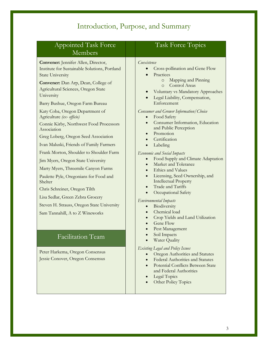| <b>Appointed Task Force</b><br>Members                                                                                                                                                                                                                                               | <b>Task Force Topics</b>                                                                                                                                                                                                                                                                                                                                                                                                                    |
|--------------------------------------------------------------------------------------------------------------------------------------------------------------------------------------------------------------------------------------------------------------------------------------|---------------------------------------------------------------------------------------------------------------------------------------------------------------------------------------------------------------------------------------------------------------------------------------------------------------------------------------------------------------------------------------------------------------------------------------------|
| Convener: Jennifer Allen, Director,<br>Institute for Sustainable Solutions, Portland<br><b>State University</b><br>Convener: Dan Arp, Dean, College of<br>Agricultural Sciences, Oregon State<br>University<br>Barry Bushue, Oregon Farm Bureau<br>Katy Coba, Oregon Department of   | Coexistence<br>Cross-pollination and Gene Flow<br>Practices<br>Mapping and Pinning<br>$\circ$<br>Control Areas<br>$\Omega$<br>Voluntary vs Mandatory Approaches<br>Legal Liability, Compensation,<br>Enforcement<br><b>Consumer and Grower Information/Choice</b>                                                                                                                                                                           |
| Agriculture (ex- officio)<br>Connie Kirby, Northwest Food Processors<br>Association<br>Greg Loberg, Oregon Seed Association<br>Ivan Maluski, Friends of Family Farmers<br>Frank Morton, Shoulder to Shoulder Farm                                                                    | Food Safety<br>$\bullet$<br>Consumer Information, Education<br>$\bullet$<br>and Public Perception<br>Promotion<br>Certification<br>Labeling<br>Economic and Social Impacts                                                                                                                                                                                                                                                                  |
| Jim Myers, Oregon State University<br>Marty Myers, Threemile Canyon Farms<br>Paulette Pyle, Oregonians for Food and<br>Shelter<br>Chris Schreiner, Oregon Tilth<br>Lisa Sedlar, Green Zebra Grocery<br>Steven H. Strauss, Oregon State University<br>Sam Tannahill, A to Z Wineworks | Food Supply and Climate Adaptation<br>Market and Tolerance<br><b>Ethics and Values</b><br>$\bullet$<br>Licensing, Seed Ownership, and<br>$\bullet$<br><b>Intellectual Property</b><br>Trade and Tariffs<br>$\bullet$<br>Occupational Safety<br><b>Environmental Impacts</b><br>Biodiversity<br>$\bullet$<br>Chemical load<br>$\bullet$<br>Crop Yields and Land Utilization<br>Gene Flow<br>Pest Management<br>Soil Impacts<br>Water Quality |
| Facilitation Team                                                                                                                                                                                                                                                                    |                                                                                                                                                                                                                                                                                                                                                                                                                                             |
| Peter Harkema, Oregon Consensus<br>Jessie Conover, Oregon Consensus                                                                                                                                                                                                                  | <b>Existing Legal and Policy Issues</b><br>Oregon Authorities and Statutes<br>Federal Authorities and Statutes<br>Potential Conflicts Between State<br>and Federal Authorities<br><b>Legal Topics</b><br>Other Policy Topics                                                                                                                                                                                                                |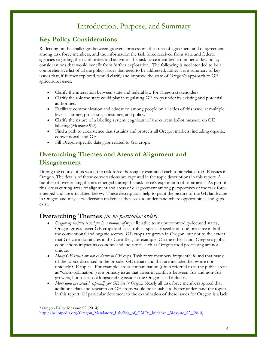# **Key Policy Considerations**

Reflecting on the challenges between growers, processors, the areas of agreement and disagreement among task force members, and the information the task force received from state and federal agencies regarding their authorities and activities, the task force identified a number of key policy considerations that would benefit from further exploration. The following is not intended to be a comprehensive list of all the policy issues that need to be addressed, rather it is a summary of key issues that, if further explored, would clarify and improve the state of Oregon's approach to GE agriculture issues.

- Clarify the interaction between state and federal law for Oregon stakeholders.
- Clarify the role the state could play in regulating GE crops under its existing and potential authorities.
- Facilitate communication and education among people on all sides of this issue, at multiple levels - farmer, processor, consumer, and policy.
- Clarify the nature of a labeling system, cognizant of the current ballot measure on GE labeling (Measure 92<sup>3</sup> ).
- Find a path to coexistence that sustains and protects all Oregon markets, including organic, conventional, and GE.
- Fill Oregon-specific data gaps related to GE crops.

## **Overarching Themes and Areas of Alignment and Disagreement**

During the course of its work, the task force thoroughly examined each topic related to GE issues in Oregon. The details of those conversations are captured in the topic descriptions in this report. A number of overarching themes emerged during the task force's exploration of topic areas. As part of this, cross cutting areas of alignment and areas of disagreement among perspectives of the task force emerged and are articulated below. These descriptions help to paint the picture of the GE landscape in Oregon and may serve decision makers as they seek to understand where opportunities and gaps exist.

### **Overarching Themes** *(in no particular order)*

- *Oregon agriculture is unique in a number of ways*. Relative to major commodity-focused states, Oregon grows fewer GE crops and has a robust specialty seed and food presence in both the conventional and organic sectors. GE crops are grown in Oregon, but not to the extent that GE corn dominates in the Corn Belt, for example. On the other hand, Oregon's global connections impact its economy and industries such as Oregon food processing are not unique.
- *Many GE issues are not exclusive to GE crops.* Task force members frequently found that many of the topics discussed in the broader GE debate and that are included below are not uniquely GE topics. For example, cross-contamination (often referred to in the public arena as "cross-pollination") is a primary issue that arises in conflicts between GE and non-GE growers, but it is also a longstanding issue in the Oregon seed industry.
- *More data are needed, especially for GE use in Oregon.* Nearly all task force members agreed that additional data and research on GE crops would be valuable to better understand the topics in this report. Of particular detriment to the examination of these issues for Oregon is a lack

<sup>3</sup> Oregon Ballot Measure 92 (2014)

[http://ballotpedia.org/Oregon\\_Mandatory\\_Labeling\\_of\\_GMOs\\_Initiative,\\_Measure\\_92\\_\(2014\)](http://ballotpedia.org/Oregon_Mandatory_Labeling_of_GMOs_Initiative,_Measure_92_(2014))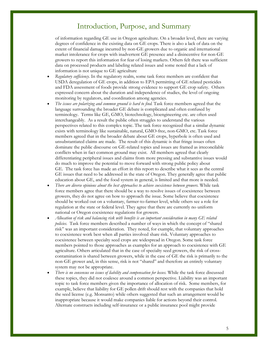of information regarding GE use in Oregon agriculture. On a broader level, there are varying degrees of confidence in the existing data on GE crops. There is also a lack of data on the extent of financial damage incurred by non-GE growers due to organic and international market intolerance for crops with inadvertent GE presence and a disincentive for non-GE growers to report this information for fear of losing markets. Others felt there was sufficient data on processed products and labeling related issues and some noted that a lack of information is not unique to GE agriculture

- *Regulatory sufficiency.* In the regulatory realm, some task force members are confident that USDA deregulation of GE crops, in addition to EPA permitting of GE related pesticides and FDA assessment of foods provide strong evidence to support GE crop safety. Others expressed concern about the duration and independence of studies, the level of ongoing monitoring by regulators, and coordination among agencies.
- *The issues are polarizing and common ground is hard to find.* Task force members agreed that the language surrounding the broader GE debate is complicated and often confused by terminology. Terms like GE, GMO, biotechnology, bioengineering etc. are often used interchangeably. As a result the public often struggles to understand the various perspectives related to this complex topic. The task force recognized that a similar dynamic exists with terminology like sustainable, natural, GMO-free, non-GMO, etc. Task force members agreed that in the broader debate about GE crops, hyperbole is often used and unsubstantiated claims are made. The result of this dynamic is that fringe issues often dominate the public discourse on GE-related topics and issues are framed as irreconcilable conflicts when in fact common ground may exist. All members agreed that clearly differentiating peripheral issues and claims from more pressing and substantive issues would do much to improve the potential to move forward with strong public policy about GE. The task force has made an effort in this report to describe what it sees as the central GE issues that need to be addressed in the state of Oregon. They generally agree that public education about GE, and the food system in general, is limited and that more is needed.
- *There are diverse opinions about the best approaches to achieve coexistence between growers.* While task force members agree that there should be a way to resolve issues of coexistence between growers, they do not agree on how to approach the issue. Some believe that coexistence should be worked out on a voluntary, farmer-to-farmer level, while others see a role for regulation at the state or federal level. They agree that there are currently no uniform national or Oregon coexistence regulations for growers.
- *Allocation of risk and balancing risk with benefits is an important consideration in many GE related policies.* Task force members described a number of ways in which the concept of "shared risk" was an important consideration. They noted, for example, that voluntary approaches to coexistence work best when all parties involved share risk. Voluntary approaches to coexistence between specialty seed crops are widespread in Oregon. Some task force members pointed to those approaches as examples for an approach to coexistence with GE agriculture. Others articulated that in the case of specialty seed growers, the risk of crosscontamination is shared between growers, while in the case of GE the risk is primarily to the non-GE grower and, in this sense, risk is not "shared" and therefore an entirely voluntary system may not be appropriate.
- *There is no consensus on issues of liability and compensation for losses.* While the task force discussed these topics, they did not coalesce around a common perspective. Liability was an important topic to task force members given the importance of allocation of risk. Some members, for example, believe that liability for GE pollen drift should rest with the companies that hold the seed license (e.g. Monsanto) while others suggested that such an arrangement would be inappropriate because it would make companies liable for actions beyond their control. Alternate constructs including self-insurance or a public insurance pool might provide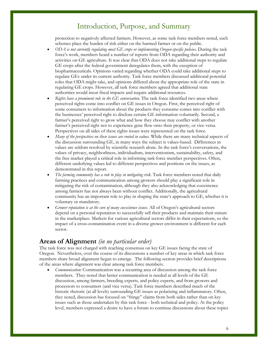protection to negatively affected farmers. However, as some task force members noted, such schemes place the burden of risk either on the harmed farmer or on the public.

- *ODA is not currently regulating most GE crops or implementing Oregon-specific policies***.** During the task force's work, members heard a number of reports from ODA regarding their authority and activities on GE agriculture. It was clear that ODA does not take additional steps to regulate GE crops after the federal government deregulates them, with the exception of biopharmaceuticals. Opinions varied regarding whether ODA could take additional steps to regulate GEs under its current authority. Task force members discussed additional potential roles that ODA might take, and opinions differed about the appropriate role of the state in regulating GE crops. However, all task force members agreed that additional state authorities would incur fiscal impacts and require additional resources.
- *Rights have a prominent role in the GE conversation.* The task force identified two areas where perceived rights come into conflict on GE issues in Oregon. First, the perceived right of some consumers to information about the products they consume comes into conflict with the businesses' perceived right to disclose certain GE information voluntarily. Second, a farmer's perceived right to grow what and how they choose may conflict with another farmer's perceived right not to experience gene flow onto their property, or vice versa. Perspectives on all sides of these rights issues were represented on the task force.
- *Many of the perspectives on these issues are rooted in values.* While there are many technical aspects of the discussion surrounding GE, in many ways the subject is values-based. Differences in values are seldom resolved by scientific research alone. In the task force's conversations, the values of privacy, neighborliness, individualism, interventionism, sustainability, safety, and the free market played a critical role in informing task force member perspectives. Often, different underlying values led to different perspectives and positions on the issues, as demonstrated in this report.
- *The farming community has a role to play in mitigating risk.* Task force members noted that daily farming practices and communication among growers should play a significant role in mitigating the risk of contamination, although they also acknowledging that coexistence among farmers has not always been without conflict. Additionally, the agricultural community has an important role to play in shaping the state's approach to GE, whether it is voluntary or mandatory.
- *Grower reputation is at the core of many coexistence issues.* All of Oregon's agricultural sectors depend on a personal reputation to successfully sell their products and maintain their stature in the marketplace. Markets for various agricultural sectors differ in their expectations, so the impact of a cross-contamination event in a diverse grower environment is different for each sector.

### **Areas of Alignment** *(in no particular order)*

The task force was not charged with reaching consensus on key GE issues facing the state of Oregon. Nevertheless, over the course of its discussions a number of key areas in which task force members share broad alignment began to emerge. The following section provides brief descriptions of the areas where alignment was clear among task force members.

 *Communication:* Communication was a recurring area of discussion among the task force members. They noted that better communication is needed at all levels of the GE discussion, among farmers, breeding experts, and policy experts, and from growers and processors to consumers (and vice versa). Task force members described much of the historic rhetoric (at all levels) surrounding GE issues as polarizing and inflammatory. Often, they noted, discussion has focused on "fringe" claims from both sides rather than on key issues such as those undertaken by this task force - both technical and policy. At the policy level, members expressed a desire to have a forum to continue discussions about these topics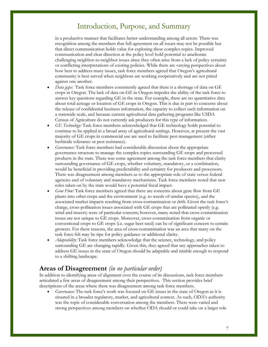in a productive manner that facilitates better understanding among all actors. There was recognition among the members that full agreement on all issues may not be possible but that direct communication holds value for exploring these complex topics. Improved communication and clear direction at the policy level hold potential to ameliorate challenging neighbor-to-neighbor issues since they often arise from a lack of policy certainty or conflicting interpretations of existing policies. While there are varying perspectives about how best to address many issues, task force members agreed that Oregon's agricultural community is best served when neighbors are working cooperatively and are not pitted against one another.

- *Data gaps:* Task force members consistently agreed that there is a shortage of data on GE crops in Oregon. The lack of data on GE in Oregon impedes the ability of the task force to answer key questions regarding GE in the state. For example, there are no quantitative data about total acreage or location of GE crops in Oregon. This is due in part to concerns about the release of confidential business information, the capacity to collect such information on a statewide scale, and because current agricultural data gathering programs like USDA Census of Agriculture do not currently ask producers for this type of information.
- *GE Technology:* Task force members acknowledged that GE technology holds potential to continue to be applied in a broad array of agricultural settings. However, at present the vast majority of GE crops in commercial use are used to facilitate pest management (either herbicide tolerance or pest resistance).
- *Governance:* Task force members had considerable discussion about the appropriate governance structure to manage the complex topics surrounding GE crops and processed products in the state. There was some agreement among the task force members that clarity surrounding governance of GE crops, whether voluntary, mandatory, or a combination, would be beneficial in providing predictability and certainty for producers and processors. There was disagreement among members as to the appropriate role of state versus federal agencies and of voluntary and mandatory mechanisms. Task force members noted that new roles taken on by the state would have a potential fiscal impact.
- *Gene Flow:* Task force members agreed that there are concerns about gene flow from GE plants into other crops and the environment (e.g. to weeds of similar species), and the associated market impacts resulting from cross-contamination or drift. Given the task force's charge, cross-pollination issues associated with GE crops that are pollinated openly (e.g. wind and insects) were of particular concern; however, many noted that cross-contamination issues are not unique to GE crops. Moreover, cross-contamination from organic or conventional crops to GE crops (i.e. sugar beet seed) can be of significant concern to certain growers. For these reasons, the area of cross-contamination was an area that many on the task force felt may be ripe for policy guidance or additional clarity.
- *Adaptability:* Task force members acknowledge that the science, technology, and policy surrounding GE are changing rapidly. Given this, they agreed that any approaches taken to address GE issues in the state of Oregon should be adaptable and nimble enough to respond to a shifting landscape.

### **Areas of Disagreement** *(in no particular order)*

In addition to identifying areas of alignment over the course of its discussions, task force members articulated a few areas of disagreement among their perspectives. This section provides brief descriptions of the areas where there was disagreement among task force members.

 *Governance:* The task force's work was focused on GE issues in the state of Oregon as it is situated in a broader regulatory, market, and agricultural context. As such, ODA's authority was the topic of considerable conversation among the members. There were varied and strong perspectives among members on whether ODA should or could take on a larger role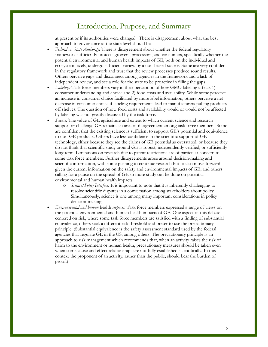at present or if its authorities were changed. There is disagreement about what the best approach to governance at the state level should be.

- *Federal vs. State Authority*: There is disagreement about whether the federal regulatory framework sufficiently protects growers, processors, and consumers, specifically whether the potential environmental and human health impacts of GE, both on the individual and ecosystem levels, undergo sufficient review by a non-biased source. Some are very confident in the regulatory framework and trust that the review processes produce sound results. Others perceive gaps and disconnect among agencies in the framework and a lack of independent review, and see a role for the state to be proactive in filling the gaps.
- *Labeling:* Task force members vary in their perception of how GMO labeling affects 1) consumer understanding and choice and 2) food costs and availability. While some perceive an increase in consumer choice facilitated by more label information, others perceive a net decrease in consumer choice if labeling requirements lead to manufacturers pulling products off shelves. The question of how food costs and availability would or would not be affected by labeling was not greatly discussed by the task force.
- *Science:* The value of GE agriculture and extent to which current science and research support or challenge GE remains an area of disagreement among task force members. Some are confident that the existing science is sufficient to support GE's potential and equivalence to non-GE products. Others have less confidence in the scientific support of GE technology, either because they see the claims of GE potential as overstated, or because they do not think that scientific study around GE is robust, independently verified, or sufficiently long-term. Limitations on research due to patent restrictions are of particular concern to some task force members. Further disagreements arose around decision-making and scientific information, with some pushing to continue research but to also move forward given the current information on the safety and environmental impacts of GE, and others calling for a pause on the spread of GE so more study can be done on potential environmental and human health impacts.
	- o *Science/Policy Interface:* It is important to note that it is inherently challenging to resolve scientific disputes in a conversation among stakeholders about policy. Simultaneously, science is one among many important considerations in policy decision-making.
- *Environmental and human* health *impacts:* Task force members expressed a range of views on the potential environmental and human health impacts of GE. One aspect of this debate centered on risk, where some task force members are satisfied with a finding of substantial equivalence, others seek a different risk threshold and prefer to use the precautionary principle. (Substantial equivalence is the safety assessment standard used by the federal agencies that regulate GE in the US, among others. The precautionary principle is an approach to risk management which recommends that, when an activity raises the risk of harm to the environment or human health, precautionary measures should be taken even when some cause and effect relationships are not fully established scientifically. In this context the proponent of an activity, rather than the public, should bear the burden of proof.)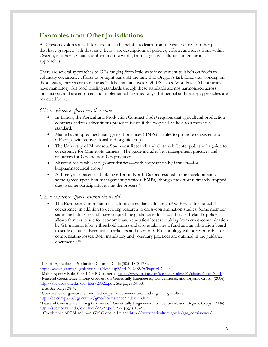# **Examples from Other Jurisdictions**

As Oregon explores a path forward, it can be helpful to learn from the experiences of other places that have grappled with this issue. Below are descriptions of policies, efforts, and ideas from within Oregon, in other US states, and around the world, from legislative solutions to grassroots approaches.

There are several approaches to GEs ranging from little state involvement to labels on foods to voluntary coexistence efforts to outright bans. At the time that Oregon's task force was working on these issues, there were as many as 35 labeling initiatives in 20 US states. Worldwide, 64 countries have mandatory GE food labeling standards though these standards are not harmonized across jurisdictions and are enforced and implemented in varied ways. Influential and nearby approaches are reviewed below.

#### *GE coexistence efforts in other states*

- In Illinois, the Agricultural Production Contract Code<sup>4</sup> requires that agricultural production contracts address adventitious presence issues if the crop will be held to a threshold standard.
- Maine has adopted best management practices (BMPs) in rule<sup>5</sup> to promote coexistence of GE crops with conventional and organic crops.
- The University of Minnesota Southwest Research and Outreach Center published a guide to coexistence for Minnesota farmers. The guide includes best management practices and resources for GE and non-GE producers.
- Missouri has established grower districts—with cooperation by farmers—for biopharmaceutical crops.<sup>6</sup>
- A three-year consensus-building effort in North Dakota resulted in the development of some agreed-upon best management practices (BMPs), though the effort ultimately stopped due to some participants leaving the process.<sup>7</sup>

#### *GE coexistence efforts around the world*

The European Commission has adopted a guidance document<sup>8</sup> with rules for peaceful coexistence, in addition to devoting research to cross-contamination studies. Some member states, including Ireland, have adapted the guidance to local conditions. Ireland's policy allows farmers to sue for economic and reputation losses resulting from cross-contamination by GE material (above threshold limits) and also establishes a fund and an arbitration board to settle disputes. Eventually marketers and users of GE technology will be responsible for compensating losses. Both mandatory and voluntary practices are outlined in the guidance document. 9,10

<sup>4</sup> Illinois Agricultural Production Contract Code (505 ILCS 17/). <http://www.ilga.gov/legislation/ilcs/ilcs3.asp?ActID=2485&ChapterID=40>

<sup>5</sup> Maine Agency Rule 01-001 CMR Chapter 9.<http://www.maine.gov/sos/cec/rules/01/chaps01.htm#001>

<sup>6</sup> Peaceful Coexistence among Growers of: Genetically Engineered, Conventional, and Organic Crops. (2006). [http://sbc.ucdavis.edu/old\\_files/29322.pdf.](http://sbc.ucdavis.edu/old_files/29322.pdf) See pages 34-38.

<sup>7</sup> *Ibid.* See pages 38-42.

<sup>8</sup> Coexistence of genetically modified crops with conventional and organic agriculture. [http://ec.europa.eu/agriculture/gmo/coexistence/index\\_en.htm](http://ec.europa.eu/agriculture/gmo/coexistence/index_en.htm)

<sup>9</sup> Peaceful Coexistence among Growers of: Genetically Engineered, Conventional, and Organic Crops. (2006). [http://sbc.ucdavis.edu/old\\_files/29322.pdf.](http://sbc.ucdavis.edu/old_files/29322.pdf) See pages 18-21.

<sup>&</sup>lt;sup>10</sup> Coexistence of GM and non-GM Crops in Ireland  $\frac{http://www.agriculture.gov.ie/cm\cosistence/}{http://www.agriculture.gov.ie/cm\cosistence/}$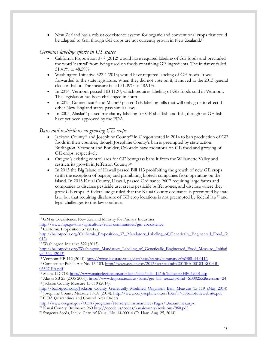New Zealand has a robust coexistence system for organic and conventional crops that could be adapted to GE, though GE crops are not currently grown in New Zealand.<sup>11</sup>

### *Germane labeling efforts in US states*

- California Proposition 37<sup>12</sup> (2012) would have required labeling of GE foods and precluded the word 'natural' from being used on foods containing GE ingredients. The initiative failed 51.41% to 48.59%.
- Washington Initiative 522<sup>13</sup> (2013) would have required labeling of GE foods. It was forwarded to the state legislature. When they did not vote on it, it moved to the 2013 general election ballot. The measure failed 51.09% to 48.91%.
- In 2014, Vermont passed HB 112<sup>14</sup>, which requires labeling of GE foods sold in Vermont. This legislation has been challenged in court.
- In 2013, Connecticut<sup>15</sup> and Maine<sup>16</sup> passed GE labeling bills that will only go into effect if other New England states pass similar laws.
- In 2005, Alaska<sup>17</sup> passed mandatory labeling for GE shellfish and fish, though no GE fish have yet been approved by the FDA.

#### *Bans and restrictions on growing GE crops*

- Jackson County<sup>18</sup> and Josephine County<sup>19</sup> in Oregon voted in 2014 to ban production of GE foods in their counties, though Josephine County's ban is preempted by state action. Burlington, Vermont and Boulder, Colorado have moratoria on GE food and growing of GE crops, respectively.
- Oregon's existing control area for GE bentgrass bans it from the Willamette Valley and restricts its growth in Jefferson County.<sup>20</sup>
- $\bullet$  In 2013 the Big Island of Hawaii passed Bill 113 prohibiting the growth of new GE crops (with the exception of papaya) and prohibiting biotech companies from operating on the island. In 2013 Kauai County, Hawaii, passed Ordinance 960<sup>21</sup> requiring large farms and companies to disclose pesticide use, create pesticide buffer zones, and disclose where they grow GE crops. A federal judge ruled that the Kauai County ordinance is preempted by state law, but that requiring disclosure of GE crop locations is not preempted by federal law<sup>22</sup> and legal challenges to this law continue.

 $\overline{a}$ <sup>11</sup> GM & Coexistence. New Zealand Ministry for Primary Industries.

<http://www.mpi.govt.nz/agriculture/rural-communities/gm-coexistence> <sup>12</sup> California Proposition 37 (2012).

http://ballotpedia.org/California<sup>-</sup>Proposition\_37,<sup>2</sup>Mandatory\_Labeling\_of\_Genetically\_Engineered\_Food\_(2  $012$ 

<sup>13</sup> Washington Initiative 522 (2013).

[http://ballotpedia.org/Washington\\_Mandatory\\_Labeling\\_of\\_Genetically\\_Engineered\\_Food\\_Measure,\\_Initiati](http://ballotpedia.org/Washington_Mandatory_Labeling_of_Genetically_Engineered_Food_Measure,_Initiative_522_(2013))  $ve$  522 (2013)

<sup>14</sup> Vermont HB 112 (2014).<http://www.leg.state.vt.us/database/status/summary.cfm?Bill=H.0112>

<sup>15</sup> Connecticut Public Act No. 13-183. [http://www.cga.ct.gov/2013/act/pa/pdf/2013PA-00183-R00HB-](http://www.cga.ct.gov/2013/act/pa/pdf/2013PA-00183-R00HB-06527-PA.pdf)[06527-PA.pdf](http://www.cga.ct.gov/2013/act/pa/pdf/2013PA-00183-R00HB-06527-PA.pdf)

<sup>&</sup>lt;sup>16</sup> Maine LD 718[. http://www.mainelegislature.org/legis/bills/bills\\_126th/billtexts/HP049001.asp](http://www.mainelegislature.org/legis/bills/bills_126th/billtexts/HP049001.asp)

<sup>&</sup>lt;sup>17</sup> Alaska SB 25 (2005-2006). [http://www.legis.state.ak.us/basis/get\\_bill\\_text.asp?hsid=SB0025Z&session=24](http://www.legis.state.ak.us/basis/get_bill_text.asp?hsid=SB0025Z&session=24) <sup>18</sup> Jackson County Measure 15-119 (2014).

[http://ballotpedia.org/Jackson\\_County\\_Genetically\\_Modified\\_Organism\\_Ban,\\_Measure\\_15-119\\_\(May\\_2014\)](http://ballotpedia.org/Jackson_County_Genetically_Modified_Organism_Ban,_Measure_15-119_(May_2014)) <sup>19</sup> Josephine County Measure 17-58 (2014).<http://www.co.josephine.or.us/files/17-58ballottitlewebsite.pdf>

<sup>20</sup> ODA Quarantines and Control Area Orders

<http://www.oregon.gov/ODA/programs/NurseryChristmasTree/Pages/Quarantines.aspx>

<sup>&</sup>lt;sup>21</sup> Kauai County Ordinance 960<http://qcode.us/codes/kauaicounty/revisions/960.pdf>

<sup>22</sup> Syngenta Seeds, Inc. v. Cnty. of Kauai, No. 14-00014 (D. Haw. Aug. 25, 2014)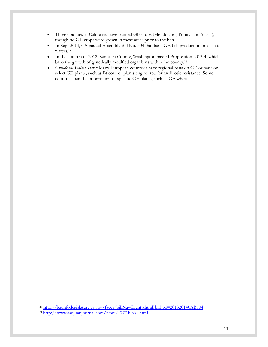- Three counties in California have banned GE crops (Mendocino, Trinity, and Marin), though no GE crops were grown in these areas prior to the ban.
- In Sept 2014, CA passed Assembly Bill No. 504 that bans GE fish production in all state waters.<sup>23</sup>
- In the autumn of 2012, San Juan County, Washington passed Proposition 2012-4, which bans the growth of genetically modified organisms within the county.<sup>24</sup>
- *Outside the United States:* Many European countries have regional bans on GE or bans on select GE plants, such as Bt corn or plants engineered for antibiotic resistance. Some countries ban the importation of specific GE plants, such as GE wheat.

<sup>&</sup>lt;sup>23</sup> [http://leginfo.legislature.ca.gov/faces/billNavClient.xhtml?bill\\_id=201320140AB504](http://leginfo.legislature.ca.gov/faces/billNavClient.xhtml?bill_id=201320140AB504)

 $\frac{24 \text{ http://www.sanjuanjournal.com/news/177740361.html}}{24 \text{ http://www.sanjuanjournal.com/news/177740361.html}}$  $\frac{24 \text{ http://www.sanjuanjournal.com/news/177740361.html}}{24 \text{ http://www.sanjuanjournal.com/news/177740361.html}}$  $\frac{24 \text{ http://www.sanjuanjournal.com/news/177740361.html}}{24 \text{ http://www.sanjuanjournal.com/news/177740361.html}}$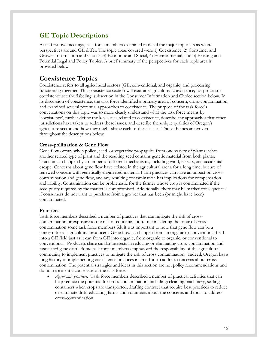## **GE Topic Descriptions**

At its first five meetings, task force members examined in detail the major topics areas where perspectives around GE differ. The topic areas covered were 1) Coexistence, 2) Consumer and Grower Information and Choice, 3) Economic and Social, 4) Environmental, and 5) Existing and Potential Legal and Policy Topics. A brief summary of the perspectives for each topic area is provided below.

# **Coexistence Topics**

Coexistence refers to all agricultural sectors (GE, conventional, and organic) and processing functioning together. This coexistence section will examine agricultural coexistence; for processor coexistence see the 'labeling' subsection in the Consumer Information and Choice section below. In its discussion of coexistence, the task force identified a primary area of concern, cross-contamination, and examined several potential approaches to coexistence. The purpose of the task force's conversations on this topic was to more clearly understand what the task force means by 'coexistence', further define the key issues related to coexistence, describe any approaches that other jurisdictions have taken to address these issues, and describe the unique qualities of Oregon's agriculture sector and how they might shape each of these issues. Those themes are woven throughout the descriptions below.

#### **Cross-pollination & Gene Flow**

Gene flow occurs when pollen, seed, or vegetative propagules from one variety of plant reaches another related type of plant and the resulting seed contains genetic material from both plants. Transfer can happen by a number of different mechanisms, including wind, insects, and accidental escape. Concerns about gene flow have existed in the agricultural arena for a long time, but are of renewed concern with genetically engineered material. Farm practices can have an impact on crosscontamination and gene flow, and any resulting contamination has implications for compensation and liability. Contamination can be problematic for the farmer whose crop is contaminated if the seed purity required by the market is compromised. Additionally, there may be market consequences if consumers do not want to purchase from a grower that has been (or might have been) contaminated.

#### **Practices**

Task force members described a number of practices that can mitigate the risk of crosscontamination or exposure to the risk of contamination. In considering the topic of crosscontamination some task force members felt it was important to note that gene flow can be a concern for all agricultural producers. Gene flow can happen from an organic or conventional field into a GE field just as it can from GE into organic, from organic to organic, or conventional to conventional. Producers share similar interests in reducing or eliminating cross-contamination and associated gene drift. Some task force members emphasized the responsibility of the agricultural community to implement practices to mitigate the risk of cross contamination. Indeed, Oregon has a long history of implementing coexistence practices in an effort to address concerns about crosscontamination. The potential strategies and ideas in this section are not policy recommendations and do not represent a consensus of the task force.

 *Agronomic practices*: Task force members described a number of practical activities that can help reduce the potential for cross-contamination, including: cleaning machinery, sealing containers when crops are transported, drafting contract that require best practices to reduce or eliminate drift, educating farms and volunteers about the concerns and tools to address cross-contamination.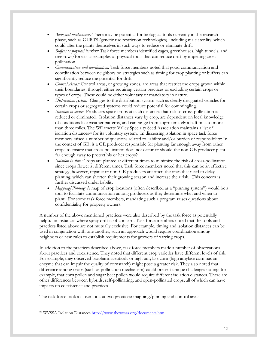- *Biological mechanisms:* There may be potential for biological tools currently in the research phase, such as GURTS (genetic use restriction technologies), including male sterility, which could alter the plants themselves in such ways to reduce or eliminate drift.
- *Buffers or physical barriers:* Task force members identified cages, greenhouses, high tunnels, and tree rows/forests as examples of physical tools that can reduce drift by impeding crosspollination.
- *Communication and coordination:* Task force members noted that good communication and coordination between neighbors on strategies such as timing for crop planting or buffers can significantly reduce the potential for drift.
- *Control Areas:* Control areas, or growing zones, are areas that restrict the crops grown within their boundaries, through either requiring certain practices or excluding certain crops or types of crops. These could be either voluntary or mandatory in nature.
- *Distribution system:* Changes to the distribution system such as clearly designated vehicles for certain crops or segregated systems could reduce potential for commingling.
- *Isolation in space:* Producers space crops at such distances that risk of cross-pollination is reduced or eliminated. Isolation distances vary by crop, are dependent on local knowledge of conditions like weather patterns, and can range from approximately a half mile to more than three miles. The Willamette Valley Specialty Seed Association maintains a list of isolation distances<sup>25</sup> for its voluntary system. In discussing isolation in space task force members raised a number of questions related to liability and/or burden of responsibility: In the context of GE, is a GE producer responsible for planting far enough away from other crops to ensure that cross-pollination does not occur or should the non-GE producer plant far enough away to protect his or her crops?
- *Isolation in time:* Crops are planted at different times to minimize the risk of cross-pollination since crops flower at different times. Task force members noted that this can be an effective strategy, however, organic or non-GE producers are often the ones that need to delay planting, which can shorten their growing season and increase their risk. This concern is further discussed under liability.
- *Mapping/Pinning: A map of crop locations (often described as a "pinning system")* would be a tool to facilitate communication among producers as they determine what and when to plant. For some task force members, mandating such a program raises questions about confidentiality for property owners.

A number of the above mentioned practices were also described by the task force as potentially helpful in instances where spray drift is of concern. Task force members noted that the tools and practices listed above are not mutually exclusive. For example, timing and isolation distances can be used in conjunction with one another; such an approach would require coordination among neighbors or new rules to establish requirements for growers of varying crops.

In addition to the practices described above, task force members made a number of observations about practices and coexistence. They noted that different crop varieties have different levels of risk. For example, they observed biopharmaceuticals or high amylase corn (high amylase corn has an enzyme that can impair the quality of cornstarch) might pose a greater risk. They also noted that difference among crops (such as pollination mechanism) could present unique challenges noting, for example, that corn pollen and sugar beet pollen would require different isolation distances. There are other differences between hybrids, self-pollinating, and open-pollinated crops, all of which can have impacts on coexistence and practices.

The task force took a closer look at two practices: mapping/pinning and control areas.

 $\overline{a}$ <sup>25</sup> WVSSA Isolation Distances http://www.thewyssa.org/documents.htm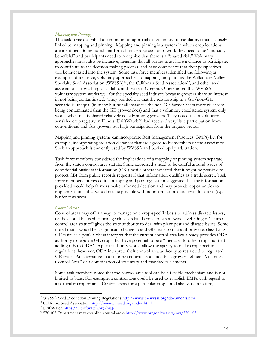#### *Mapping and Pinning*

The task force described a continuum of approaches (voluntary to mandatory) that is closely linked to mapping and pinning. Mapping and pinning is a system in which crop locations are identified. Some noted that for voluntary approaches to work they need to be "mutually beneficial" and participants need to recognize that there is a "shared risk." Voluntary approaches must also be inclusive, meaning that all parties must have a chance to participate, to contribute to the decision making process, and have confidence that their perspectives will be integrated into the system. Some task force members identified the following as examples of inclusive, voluntary approaches to mapping and pinning: the Willamette Valley Specialty Seed Association (WVSSA)<sup>26</sup>, the California Seed Association<sup>27</sup>, and other seed associations in Washington, Idaho, and Eastern Oregon. Others noted that WVSSA's voluntary system works well for the specialty seed industry because growers share an interest in not being contaminated. They pointed out that the relationship in a GE/non-GE scenario is unequal (in many but not all instances the non-GE farmer bears more risk from being contaminated than the GE grower does) and that a voluntary coexistence system only works when risk is shared relatively equally among growers. They noted that a voluntary sensitive crop registry in Illinois (DriftWatch28) had received very little participation from conventional and GE growers but high participation from the organic sector.

Mapping and pinning systems can incorporate Best Management Practices (BMPs) by, for example, incorporating isolation distances that are agreed to by members of the association. Such an approach is currently used by WVSSA and backed up by arbitration.

Task force members considered the implications of a mapping or pinning system separate from the state's control area statute. Some expressed a need to be careful around issues of confidential business information (CBI), while others indicated that it might be possible to protect CBI from public records requests if that information qualifies as a trade secret. Task force members interested in a mapping and pinning system suggested that the information provided would help farmers make informed decision and may provide opportunities to implement tools that would not be possible without information about crop locations (e.g. buffer distances).

#### *Control Areas*

Control areas may offer a way to manage on a crop-specific basis to address discrete issues, or they could be used to manage closely related crops on a statewide level. Oregon's current control area statute<sup>29</sup> gives the state authority to deal with plant pest and disease issues. Some noted that it would be a significant change to add GE traits to that authority (i.e. classifying GE traits as a pest). Others interpret that the current control area law already provides ODA authority to regulate GE crops that have potential to be a "menace" to other crops but that adding GE to ODA's explicit authority would allow the agency to make crop specific regulations; however, ODA interprets their control area authority as restricted to regulated GE crops. An alternative to a state-run control area could be a grower-defined "Voluntary Control Area" or a combination of voluntary and mandatory elements.

Some task members noted that the control area tool can be a flexible mechanism and is not limited to bans. For example, a control area could be used to establish BMPs with regard to a particular crop or area. Control areas for a particular crop could also vary in nature,

<sup>26</sup> WVSSA Seed Production Pinning Regulations<http://www.thewvssa.org/documents.htm>

<sup>&</sup>lt;sup>27</sup> California Seed Association<http://www.calseed.org/index.html>

<sup>&</sup>lt;sup>28</sup> DriftWatch<https://il.driftwatch.org/map>

<sup>29</sup> 570.405 Department may establish control areas<http://www.oregonlaws.org/ors/570.405>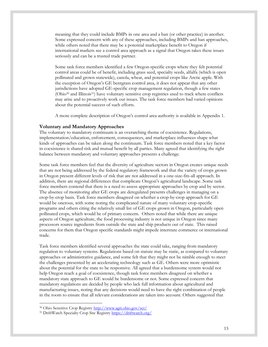meaning that they could include BMPs in one area and a ban (or other practice) in another. Some expressed concern with any of these approaches, including BMPs and ban approaches, while others noted that there may be a potential marketplace benefit to Oregon if international markets see a control area approach as a signal that Oregon takes these issues seriously and can be a trusted trade partner.

Some task force members identified a few Oregon-specific crops where they felt potential control areas could be of benefit, including grass seed, specialty seeds, alfalfa (which is open pollinated and grown statewide), canola, wheat, and potential crops like Arctic apple. With the exception of Oregon's GE bentgrass control area, it does not appear that any other jurisdictions have adopted GE-specific crop management regulation, though a few states (Ohio<sup>30</sup> and Illinois31) have voluntary sensitive crop registries used to track where conflicts may arise and to proactively work out issues. The task force members had varied opinions about the potential success of such efforts.

A more complete description of Oregon's control area authority is available in Appendix 1.

#### **Voluntary and Mandatory Approaches**

The voluntary to mandatory continuum is an overarching theme of coexistence. Regulations, implementation/education, enforcement, consequences, and marketplace influences shape what kinds of approaches can be taken along the continuum. Task force members noted that a key factor in coexistence is shared risk and mutual benefit by all parties. Many agreed that identifying the right balance between mandatory and voluntary approaches presents a challenge.

Some task force members feel that the diversity of agriculture sectors in Oregon creates unique needs that are not being addressed by the federal regulatory framework and that the variety of crops grown in Oregon present different levels of risk that are not addressed in a one-size-fits-all approach. In addition, there are regional differences that complicate Oregon's agricultural landscape. Some task force members contend that there is a need to assess appropriate approaches by crop and by sector. The absence of monitoring after GE crops are deregulated presents challenges in managing on a crop-by-crop basis. Task force members disagreed on whether a crop-by-crop approach for GE would be onerous, with some noting the complicated nature of many voluntary crop-specific programs and others citing the relatively small list of GE crops grown in Oregon, particularly open pollinated crops, which would be of primary concern. Others noted that while there are unique aspects of Oregon agriculture, the food processing industry is not unique in Oregon since many processors source ingredients from outside the state and ship products out of state. This raised concerns for them that Oregon specific standards might impede interstate commerce or international trade.

Task force members identified several approaches the state could take, ranging from mandatory regulation to voluntary systems. Regulations based on statute may be static, as compared to voluntary approaches or administrative guidance, and some felt that they might not be nimble enough to meet the challenges presented by an accelerating technology such as GE. Others were more optimistic about the potential for the state to be responsive. All agreed that a burdensome system would not help Oregon reach a goal of coexistence, though task force members disagreed on whether a mandatory state approach to GE would be burdensome or not. Some expressed concern that mandatory regulations are decided by people who lack full information about agricultural and manufacturing issues, noting that any decisions would need to have the right combination of people in the room to ensure that all relevant considerations are taken into account. Others suggested that

<sup>30</sup> Ohio Sensitive Crop Registry<http://www.agri.ohio.gov/scr/>

<sup>31</sup> DriftWatch Specialty Crop Site Registry<https://driftwatch.org/>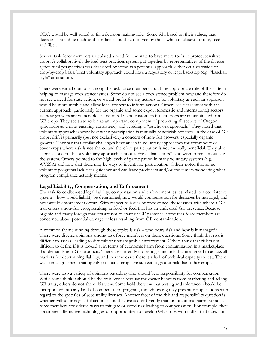ODA would be well suited to fill a decision making role. Some felt, based on their values, that decisions should be made and conflicts should be resolved by those who are closest to food, feed, and fiber.

Several task force members articulated a need for the state to have more tools to protect sensitive crops. A collaboratively devised best practices system put together by representatives of the diverse agricultural perspectives was described by some as a potential approach, either on a statewide or crop-by-crop basis. That voluntary approach could have a regulatory or legal backstop (e.g. "baseball style" arbitration).

There were varied opinions among the task force members about the appropriate role of the state in helping to manage coexistence issues. Some do not see a coexistence problem now and therefore do not see a need for state action, or would prefer for any actions to be voluntary as such an approach would be more nimble and allow local context to inform actions. Others see clear issues with the current approach, particularly for the organic and some export (domestic and international) sectors, as these growers are vulnerable to loss of sales and customers if their crops are contaminated from GE crops. They see state action as an important component of protecting all sectors of Oregon agriculture as well as ensuring consistency and avoiding a "patchwork approach." They noted that voluntary approaches work best when participation is mutually beneficial; however, in the case of GE crops, drift is primarily (but not exclusively) a concern of non-GE growers, especially organic growers. They say that similar challenges have arisen in voluntary approaches for commodity or cover crops where risk is not shared and therefore participation is not mutually beneficial. They also express concern that a voluntary approach cannot address "bad actors" who wish to remain outside the system. Others pointed to the high levels of participation in many voluntary systems (e.g. WVSSA) and note that there may be ways to incentivize participation. Others noted that some voluntary programs lack clear guidance and can leave producers and/or consumers wondering what program compliance actually means.

#### **Legal Liability, Compensation, and Enforcement**

The task force discussed legal liability, compensation and enforcement issues related to a coexistence system – how would liability be determined, how would compensation for damages be managed, and how would enforcement occur? With respect to issues of coexistence, these issues arise where a GE trait enters a non-GE crop, resulting in food or feed that has an undesired GE presence. Because organic and many foreign markets are not tolerant of GE presence, some task force members are concerned about potential damage or loss resulting from GE contamination.

A common theme running through these topics is risk – who bears risk and how is it managed? There were diverse opinions among task force members on these questions. Some think that risk is difficult to assess, leading to difficult or unmanageable enforcement. Others think that risk is not difficult to define if it is looked at in terms of economic harm from contamination in a marketplace that demands non-GE products. There are currently no testing standards that are agreed to across all markets for determining liability, and in some cases there is a lack of technical capacity to test. There was some agreement that openly pollinated crops are subject to greater risk than other crops.

There were also a variety of opinions regarding who should bear responsibility for compensation. While some think it should be the trait owner because the owner benefits from marketing and selling GE traits, others do not share this view. Some hold the view that testing and tolerances should be incorporated into any kind of compensation program, though testing may present complications with regard to the specifics of seed utility licenses. Another facet of the risk and responsibility question is whether willful or neglectful actions should be treated differently than unintentional harm. Some task force members considered ways to mitigate or avoid risk leading to compensation. For example, they considered alternative technologies or opportunities to develop GE crops with pollen that does not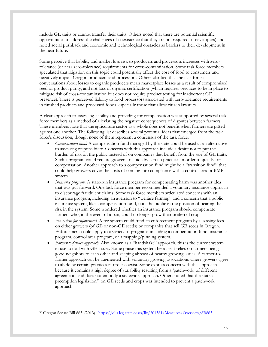include GE traits or cannot transfer their traits. Others noted that there are potential scientific opportunities to address the challenges of coexistence (but they are not required of developers) and noted social pushback and economic and technological obstacles as barriers to their development in the near future.

Some perceive that liability and market loss risk to producers and processors increases with zerotolerance (or near zero-tolerance) requirements for cross-contamination. Some task force members speculated that litigation on this topic could potentially affect the cost of food to consumers and negatively impact Oregon producers and processors. Others clarified that the task force's conversations about losses to organic producers mean marketplace losses as a result of compromised seed or product purity, and not loss of organic certification (which requires practices to be in place to mitigate risk of cross-contamination but does not require product testing for inadvertent GE presence). There is perceived liability to food processors associated with zero-tolerance requirements in finished products and processed foods, especially those that allow citizen lawsuits.

A clear approach to assessing liability and providing for compensation was supported by several task force members as a method of alleviating the negative consequences of disputes between farmers. These members note that the agriculture sector as a whole does not benefit when farmers are pitted against one another. The following list describes several potential ideas that emerged from the task force's discussion, though none of them represent a consensus of the task force.

- *Compensation fund.* A compensation fund managed by the state could be used as an alternative to assessing responsibility. Concerns with this approach include a desire not to put the burden of risk on the public instead of on companies that benefit from the sale of GE traits. Such a program could require growers to abide by certain practices in order to qualify for compensation. Another approach to a compensation fund might be a "transition fund" that could help growers cover the costs of coming into compliance with a control area or BMP system.
- *Insurance program.* A state-run insurance program for compensating harm was another idea that was put forward. One task force member recommended a voluntary insurance approach to discourage fraudulent claims. Some task force members articulated concerns with an insurance program, including an aversion to "welfare farming" and a concern that a public insurance system, like a compensation fund, puts the public in the position of bearing the risk in the system. Some wondered whether an insurance program should compensate farmers who, in the event of a ban, could no longer grow their preferred crop.
- *Fee system for enforcement.* A fee system could fund an enforcement program by assessing fees on either growers (of GE or non-GE seeds) or companies that sell GE seeds in Oregon. Enforcement could apply to a variety of programs including a compensation fund, insurance program, control area program, or a mapping/pinning system.
- *Farmer-to-farmer approach.* Also known as a "handshake" approach, this is the current system in use to deal with GE issues. Some praise this system because it relies on farmers being good neighbors to each other and keeping abreast of nearby growing issues. A farmer-tofarmer approach can be augmented with voluntary growing associations where growers agree to abide by certain practices in order coexist. Some express concern with this approach because it contains a high degree of variability resulting from a 'patchwork' of different agreements and does not embody a statewide approach. Others noted that the state's preemption legislation<sup>32</sup> on GE seeds and crops was intended to prevent a patchwork approach.

 $\overline{a}$ <sup>32</sup> Oregon Senate Bill 863. (2013). <https://olis.leg.state.or.us/liz/2013S1/Measures/Overview/SB863>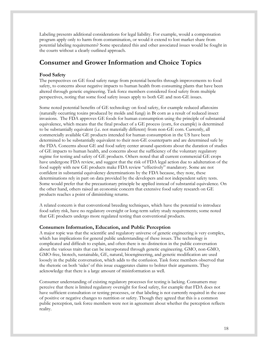Labeling presents additional considerations for legal liability. For example, would a compensation program apply only to harm from contamination, or would it extend to lost market share from potential labeling requirements? Some speculated this and other associated issues would be fought in the courts without a clearly outlined approach.

### **Consumer and Grower Information and Choice Topics**

#### **Food Safety**

The perspectives on GE food safety range from potential benefits through improvements to food safety, to concerns about negative impacts to human health from consuming plants that have been altered through genetic engineering. Task force members considered food safety from multiple perspectives, noting that some food safety issues apply to both GE and non-GE issues.

Some noted potential benefits of GE technology on food safety, for example reduced aflatoxins (naturally occurring toxins produced by molds and fungi) in Bt corn as a result of reduced insect invasions. The FDA approves GE foods for human consumption using the principle of substantial equivalence, which means that the final product of a GE process (corn, for example) is determined to be substantially equivalent (i.e. not materially different) from non-GE corn. Currently, all commercially available GE products intended for human consumption in the US have been determined to be substantially equivalent to their non-GE counterparts and are determined safe by the FDA. Concerns about GE and food safety center around questions about the duration of studies of GE impacts to human health, and concerns about the sufficiency of the voluntary regulatory regime for testing and safety of GE products. Others noted that all current commercial GE crops have undergone FDA review, and suggest that the risk of FDA legal action due to adulteration of the food supply with new GE products make FDA review "effectively" mandatory. Some are not confident in substantial equivalency determinations by the FDA because, they note, these determinations rely in part on data provided by the developers and not independent safety tests. Some would prefer that the precautionary principle be applied instead of substantial equivalence. On the other hand, others raised an economic concern that extensive food safety research on GE products reaches a point of diminishing returns.

A related concern is that conventional breeding techniques, which have the potential to introduce food safety risk, have no regulatory oversight or long-term safety study requirements; some noted that GE products undergo more regulated testing than conventional products.

#### **Consumers Information, Education, and Public Perception**

A major topic was that the scientific and regulatory universe of genetic engineering is very complex, which has implications for general public understanding of these issues. The technology is complicated and difficult to explain, and often there is no distinction in the public conversation about the various traits that can be incorporated through genetic engineering. GMO, non-GMO, GMO-free, biotech, sustainable, GE, natural, bioengineering, and genetic modification are used loosely in the public conversation, which adds to the confusion. Task force members observed that the rhetoric on both 'sides' of this issue exaggerates claims to bolster their arguments. They acknowledge that there is a large amount of misinformation as well.

Consumer understanding of existing regulatory processes for testing is lacking. Consumers may perceive that there is limited regulatory oversight for food safety, for example that FDA does not have sufficient consultation or testing processes, or that labeling is not currently required in the case of positive or negative changes to nutrition or safety. Though they agreed that this is a common public perception, task force members were not in agreement about whether the perception reflects reality.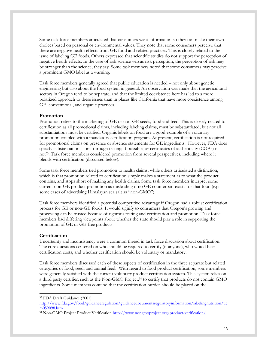Some task force members articulated that consumers want information so they can make their own choices based on personal or environmental values. They note that some consumers perceive that there are negative health effects from GE food and related practices. This is closely related to the issue of labeling GE foods. Others expressed that scientific studies do not support the perception of negative health effects. In the case of risk science versus risk perception, the perception of risk may be stronger than the science, they say. Some task members noted that some consumers may perceive a prominent GMO label as a warning.

Task force members generally agreed that public education is needed – not only about genetic engineering but also about the food system in general. An observation was made that the agricultural sectors in Oregon tend to be separate, and that the limited coexistence here has led to a more polarized approach to these issues than in places like California that have more coexistence among GE, conventional, and organic practices.

#### **Promotion**

Promotion refers to the marketing of GE or non-GE seeds, food and feed. This is closely related to certification as all promotional claims, including labeling claims, must be substantiated, but not all substantiations must be certified. Organic labels on food are a good example of a voluntary promotion coupled with a mandatory certification program. At present, certification is not required for promotional claims on presence or absence statements for GE ingredients. However, FDA does specify substantiation – first through testing, if possible, or certificates of authenticity (COAs) if not<sup>33</sup> . Task force members considered promotion from several perspectives, including where it blends with certification (discussed below).

Some task force members tied promotion to health claims, while others articulated a distinction, which is that promotion related to certification simply makes a statement as to what the product contains, and stops short of making any health claims. Some task force members interpret some current non-GE product promotion as misleading if no GE counterpart exists for that food (e.g. some cases of advertising Himalayan sea salt as "non-GMO").

Task force members identified a potential competitive advantage if Oregon had a robust certification process for GE or non-GE foods. It would signify to consumers that Oregon's growing and processing can be trusted because of rigorous testing and certification and promotion. Task force members had differing viewpoints about whether the state should play a role in supporting the promotion of GE or GE-free products.

#### **Certification**

 $\overline{a}$ 

Uncertainty and inconsistency were a common thread in task force discussion about certification. The core questions centered on who should be required to certify (if anyone), who would bear certification costs, and whether certification should be voluntary or mandatory.

Task force members discussed each of these aspects of certification in the three separate but related categories of food, seed, and animal feed. With regard to food product certification, some members were generally satisfied with the current voluntary product certification system. This system relies on a third party certifier, such as the Non-GMO Project, <sup>34</sup> to certify that products do not contain GMO ingredients. Some members contend that the certification burden should be placed on the

[http://www.fda.gov/food/guidanceregulation/guidancedocumentsregulatoryinformation/labelingnutrition/uc](http://www.fda.gov/food/guidanceregulation/guidancedocumentsregulatoryinformation/labelingnutrition/ucm059098.htm) [m059098.htm](http://www.fda.gov/food/guidanceregulation/guidancedocumentsregulatoryinformation/labelingnutrition/ucm059098.htm)

<sup>33</sup> FDA Draft Guidance (2001)

<sup>&</sup>lt;sup>34</sup> Non-GMO Project Product Verification<http://www.nongmoproject.org/product-verification/>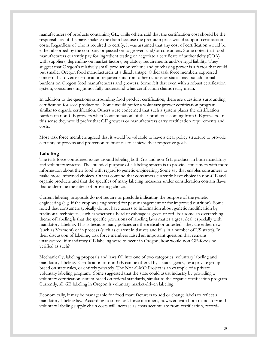manufacturers of products containing GE, while others said that the certification cost should be the responsibility of the party making the claim because the premium price would support certification costs. Regardless of who is required to certify, it was assumed that any cost of certification would be either absorbed by the company or passed on to growers and/or consumers. Some noted that food manufacturers currently pay for ingredient testing or negotiate a certificate of authenticity (COA) with suppliers, depending on market factors, regulatory requirements and/or legal liability. They suggest that Oregon's relatively small production volume and purchasing power is a factor that could put smaller Oregon food manufacturers at a disadvantage. Other task force members expressed concern that diverse certification requirements from other nations or states may put additional burdens on Oregon food manufacturers and growers. Some felt that even with a robust certification system, consumers might not fully understand what certification claims really mean.

In addition to the questions surrounding food product certification, there are questions surrounding certification for seed production. Some would prefer a voluntary grower certification program similar to organic certification. Others were concerned that such a system places the certification burden on non-GE growers when 'contamination' of their product is coming from GE growers. In this sense they would prefer that GE growers or manufacturers carry certification requirements and costs.

Most task force members agreed that it would be valuable to have a clear policy structure to provide certainty of process and protection to business to achieve their respective goals.

#### **Labeling**

The task force considered issues around labeling both GE and non-GE products in both mandatory and voluntary systems. The intended purpose of a labeling system is to provide consumers with more information about their food with regard to genetic engineering. Some say that enables consumers to make more informed choices. Others contend that consumers currently have choice in non-GE and organic products and that the specifics of many labeling measures under consideration contain flaws that undermine the intent of providing choice.

Current labeling proposals do not require or preclude indicating the purpose of the genetic engineering (e.g. if the crop was engineered for pest management or for improved nutrition). Some noted that consumers typically do not have access to information about genetic modification by traditional techniques, such as whether a head of cabbage is green or red. For some an overarching theme of labeling is that the specific provisions of labeling laws matter a great deal, especially with mandatory labeling. This is because many policies are theoretical or untested - they are either new (such as Vermont) or in process (such as current initiatives and bills in a number of US states). In their discussion of labeling, task force members raised an important question that remains unanswered: if mandatory GE labeling were to occur in Oregon, how would non GE-foods be verified as such?

Mechanically, labeling proposals and laws fall into one of two categories: voluntary labeling and mandatory labeling. Certification of non-GE can be offered by a state agency, by a private group based on state rules, or entirely privately. The Non-GMO Project is an example of a private voluntary labeling program. Some suggested that the state could assist industry by providing a voluntary certification system based on federal standards, similar to the organic certification program. Currently, all GE labeling in Oregon is voluntary market-driven labeling.

Economically, it may be manageable for food manufacturers to add or change labels to reflect a mandatory labeling law. According to some task force members, however, with both mandatory and voluntary labeling supply chain costs will increase as costs accumulate from certification, record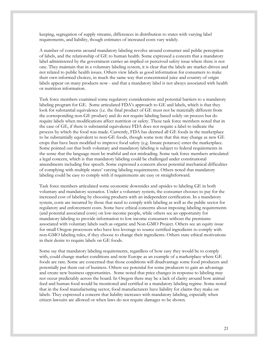keeping, segregation of supply streams, differences in distribution to states with varying label requirements, and liability, though estimates of increased costs vary widely.

A number of concerns around mandatory labeling revolve around consumer and public perception of labels, and the relationship of GE to human health. Some expressed a concern that a mandatory label administered by the government carries an implied or perceived safety issue where there is not one. They maintain that in a voluntary labeling system, it is clear that the labels are market-driven and not related to public health issues. Others view labels as good information for consumers to make their own informed choices, in much the same way that concentrated juice and country of origin labels appear on many products now - and that a mandatory label is not always associated with health or nutrition information.

Task force members examined some regulatory considerations and potential barriers to a mandatory labeling program for GE. Some articulated FDA's approach to GE and labels, which is that they look for substantial equivalence (i.e. the final product of GE must not be materially different from the corresponding non-GE product) and do not require labeling based solely on process but do require labels when modifications affect nutrition or safety. These task force members noted that in the case of GE, if there is substantial equivalence FDA does not require a label to indicate the process by which the food was made. Currently, FDA has deemed all GE foods in the marketplace to be substantially equivalent to non-GE foods, though some note that this may change as new GE crops that have been modified to improve food safety (e.g. Innate potatoes) enter the marketplace. Some pointed out that both voluntary and mandatory labeling is subject to federal requirements in the sense that the language must be truthful and not misleading. Some task force members articulated a legal concern, which is that mandatory labeling could be challenged under constitutional amendments including free speech. Some expressed a concern about potential mechanical difficulties of complying with multiple states' varying labeling requirements. Others noted that mandatory labeling could be easy to comply with if requirements are easy or straightforward.

Task force members articulated some economic downsides and upsides to labeling GE in both voluntary and mandatory scenarios. Under a voluntary system, the consumer chooses to pay for the increased cost of labeling by choosing products with an independent certification. In a mandatory system, costs are incurred by those that need to comply with labeling as well as the public sector for regulatory and enforcement costs. Some have ethical concerns about imposing labeling requirements (and potential associated costs) on low-income people, while others see an opportunity for mandatory labeling to provide information to low income consumers without the premiums associated with voluntary labels such as organic and Non-GMO Project. Others see an equity issue for small Oregon processors who have less leverage to source certified ingredients to comply with non-GMO labeling rules, if they choose to change their ingredients. Others state ethical motivations in their desire to require labels on GE foods.

Some say that mandatory labeling requirements, regardless of how easy they would be to comply with, could change market conditions and note Europe as an example of a marketplace where GE foods are rare. Some are concerned that those conditions will disadvantage some food producers and potentially put them out of business. Others see potential for some producers to gain an advantage and create new business opportunities. Some noted that price changes in response to labeling may not occur predictably across the board. In Oregon there may be a lack of clarity around how animal feed and human food would be monitored and certified in a mandatory labeling regime. Some noted that in the food manufacturing sector, food manufacturers have liability for claims they make on labels. They expressed a concern that liability increases with mandatory labeling, especially when citizen lawsuits are allowed or when laws do not require damages to be shown.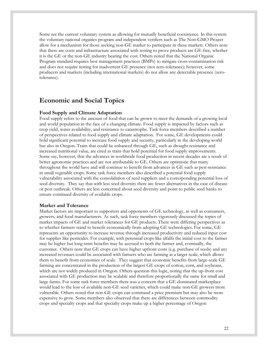Some see the current voluntary system as allowing for mutually beneficial coexistence. In this system the voluntary national organics program and independent verifiers such as The Non-GMO Project allow for a mechanism for those seeking non-GE market to participate in these markets. Others note that there are costs and infrastructure associated with testing to prove products are GE-free, whether it is the GE or the non-GE industry bearing the cost. Others noted that the National Organic Program standard requires best management practices (BMPs) to mitigate cross-contamination risk and does not require testing for inadvertent GE presence (not zero-tolerance); however, some producers and markets (including international markets) do not allow any detectable presence (zerotolerance).

### **Economic and Social Topics**

#### **Food Supply and Climate Adaptation**

Food supply refers to the amount of food that can be grown to meet the demands of a growing local and world population in the face of a changing climate. Food supply is impacted by factors such as crop yield, water availability, and resistance to catastrophe. Task force members described a number of perspectives related to food supply and climate adaptation. For some, GE developments could hold significant potential to increase food supply and security, particularly in the developing world but also in Oregon. Traits that could be enhanced through GE, such as drought resistance and increased nutritional value, are cited as traits that hold potential for food supply improvements. Some say, however, that the advances in worldwide food production in recent decades are a result of better agronomic practices and are not attributable to GE. Others are optimistic that many throughout the world have and will continue to benefit from advances in GE such as pest-resistance in small vegetable crops. Some task force members also described a potential food supply vulnerability associated with the consolidation of seed suppliers and a corresponding potential loss of seed diversity. They say that with less seed diversity there are fewer alternatives in the case of disease or pest outbreak. Others are less concerned about seed diversity and point to public seed banks to ensure continued diversity of available crops.

#### **Market and Tolerance**

Market factors are important to supporters and opponents of GE technology, as well as consumers, growers, and food manufacturers. As such, task force members vigorously discussed the topics of market impacts of GE and market tolerances for GE products. There were differing perspectives as to whether farmers stand to benefit economically from adopting GE technologies. For some, GE represents an opportunity to increase revenue through increased productivity and reduced input cost for supplies like pesticides. For example, with perennial crops like alfalfa the initial cost to the farmer may be higher but long-term benefits may be accrued to both the farmer and, eventually, the customer. Others note that GE crops can have higher upfront costs (e.g. purchase of seeds) and any increased revenues could be associated with farmers who are farming at a larger scale, which allows them to benefit from economies of scale. They suggest that economic benefits from large-scale GE farming are concentrated in the production of the largest GE crops of cotton, corn, and soybeans, which are not widely produced in Oregon. Others question this logic, noting that the up-front cost associated with GE production may be scalable and therefore proportionally the same for small and large farms. For some task force members there was a concern that a GE-dominated marketplace would lead to the loss of available non-GE seed varieties, which could make non-GE growers more vulnerable. Others noted that non-GE crops can command a price premium but may also be more expensive to grow. Some members also observed that there are differences between commodity crops and specialty crops and that specialty crops make up a higher percentage of Oregon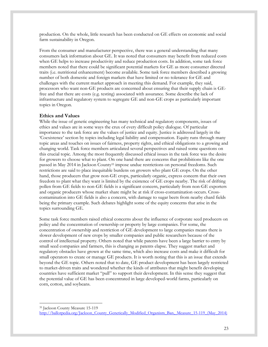production. On the whole, little research has been conducted on GE effects on economic and social farm sustainability in Oregon.

From the consumer and manufacturer perspective, there was a general understanding that many consumers lack information about GE. It was noted that consumers may benefit from reduced costs when GE helps to increase productivity and reduce production costs. In addition, some task force members noted that there could be significant potential markets for GE as more consumer directed traits (i.e. nutritional enhancement) become available. Some task force members described a growing number of both domestic and foreign markets that have limited or no tolerance for GE and challenges with the current market approach in meeting this demand. For example, they said, processors who want non-GE products are concerned about ensuring that their supply chain is GEfree and that there are costs (e.g. testing) associated with assurance. Some describe the lack of infrastructure and regulatory system to segregate GE and non-GE crops as particularly important topics in Oregon.

#### **Ethics and Values**

 $\overline{a}$ 

While the issue of genetic engineering has many technical and regulatory components, issues of ethics and values are in some ways the crux of every difficult policy dialogue. Of particular importance to the task force are the values of justice and equity. Justice is addressed largely in the 'Coexistence' section by topics including legal liability and compensation. Equity runs through many topic areas and touches on issues of fairness, property rights, and ethical obligations to a growing and changing world. Task force members articulated several perspectives and raised some questions on this crucial topic. Among the most frequently discussed ethical issues in the task force was the desire for growers to choose what to plant. On one hand there are concerns that prohibitions like the one passed in May 2014 in Jackson County<sup>35</sup> impose undue restrictions on personal freedoms. Such restrictions are said to place inequitable burdens on growers who plant GE crops. On the other hand, those producers that grow non-GE crops, particularly organic, express concern that their own freedom to plant what they want is limited by the existence of GE crops nearby. The risk of drifting pollen from GE fields to non-GE fields is a significant concern, particularly from non-GE exporters and organic producers whose market share might be at risk if cross-contamination occurs. Crosscontamination into GE fields is also a concern, with damage to sugar beets from nearby chard fields being the primary example. Such debates highlight some of the equity concerns that arise in the topics surrounding GE.

Some task force members raised ethical concerns about the influence of corporate seed producers on policy and the concentration of ownership or property by large companies. For some, the concentration of ownership and restriction of GE development to large companies means there is slower development of new crops by smaller companies and public researchers because of the control of intellectual property. Others noted that while patents have been a large barrier to entry by small seed companies and farmers, this is changing as patents elapse. They suggest market and regulatory obstacles have grown at the same time, which also increase costs and make it difficult for small operators to create or manage GE products. It is worth noting that this is an issue that extends beyond the GE topic. Others noted that to date, GE product development has been largely restricted to market-driven traits and wondered whether the kinds of attributes that might benefit developing countries have sufficient market "pull" to support their development. In this sense they suggest that the potential value of GE has been concentrated in large developed-world farms, particularly on corn, cotton, and soybeans.

<sup>35</sup> Jackson County Measure 15-119 [http://ballotpedia.org/Jackson\\_County\\_Genetically\\_Modified\\_Organism\\_Ban,\\_Measure\\_15-119\\_\(May\\_2014\)](http://ballotpedia.org/Jackson_County_Genetically_Modified_Organism_Ban,_Measure_15-119_(May_2014))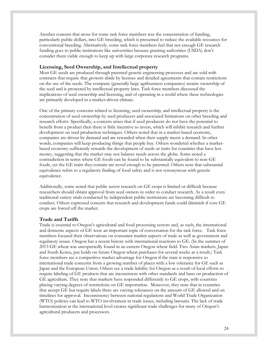Another concern that arose for some task force members was the concentration of funding, particularly public dollars, into GE breeding, which is presumed to reduce the available resources for conventional breeding. Alternatively, some task force members feel that not enough GE research funding goes to public institutions like universities because granting authorities (USDA) don't consider them viable enough to keep up with large corporate research programs.

#### **Licensing, Seed Ownership, and Intellectual property**

Most GE seeds are produced through patented genetic engineering processes and are sold with contracts that require that growers abide by licenses and detailed agreements that contain restrictions on the use of the seeds. The company (generally large agribusiness companies) retains ownership of the seed and is protected by intellectual property laws. Task force members discussed the implications of seed ownership and licensing, and of operating in a world where these technologies are primarily developed in a market-driven climate.

One of the primary concerns related to licensing, seed ownership, and intellectual property is the concentration of seed ownership by seed producers and associated limitations on other breeding and research efforts. Specifically, a concern arises that if seed producers do not have the potential to benefit from a product then there is little incentive to invest, which will inhibit research and further development on seed production techniques. Others noted that in a market-based economy, companies are driven by demand and are rewarded when their supply meets a demand. In other words, companies will keep producing things that people buy. Others wondered whether a marketbased economy sufficiently rewards the development of seeds or traits for countries that have less money, suggesting that the market may not balance needs across the globe. Some noted a contradiction in terms where GE foods can be found to be substantially equivalent to non-GE foods, yet the GE traits they contain are novel enough to be patented. Others note that substantial equivalence refers to a regulatory finding of food safety and is not synonymous with genetic equivalence.

Additionally, some noted that public sector research on GE crops is limited or difficult because researchers should obtain approval from seed owners in order to conduct research. As a result even traditional variety trials conducted by independent public institutions are becoming difficult to conduct. Others expressed concern that research and development funds could diminish if core GE crops are forced off the market.

#### **Trade and Tariffs**

Trade is essential to Oregon's agricultural and food processing sectors and, as such, the international and domestic aspects of GE were an important topic of conversation for the task force. Task force members focused their observations on consumer market aspects of trade as well as government and regulatory issues. Oregon has a recent history with international reactions to GE. (In the summer of 2013 GE wheat was unexpectedly found in an eastern Oregon wheat field. Two Asian markets, Japan and South Korea, put holds on future Oregon wheat purchases for several weeks as a result.) Task force members see a competitive market advantage for Oregon if the state is responsive to international trade concerns from a growing number of places with a low tolerance for GE such as Japan and the European Union. Others see a trade liability for Oregon as a result of local efforts to require labeling of GE products that are inconsistent with other standards and bans on production of GE agriculture. They note that markets have responded differently to GE crops, with countries placing varying degrees of restrictions on GE importation. Moreover, they note that in countries that accept GE but require labels there are varying tolerances on the amount of GE allowed and on timelines for approval. Inconsistency between national regulations and World Trade Organization (WTO) policies can lead to WTO involvement in trade issues, including lawsuits. The lack of trade harmonization at the international level creates significant trade challenges for many of Oregon's agricultural producers and processors.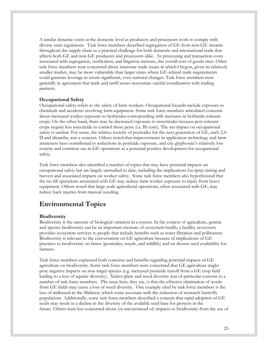A similar dynamic exists at the domestic level as producers and processors work to comply with diverse state regulations. Task force members described segregation of GE from non-GE streams throughout the supply chain as a practical challenge for both domestic and international trade that affects both GE and non-GE producers and processors alike. As processing and transaction costs associated with segregation, verification, and litigation increase, the overall cost of goods rises. Other task force members were concerned about interstate trade issues in which Oregon, given its relatively smaller market, may be more vulnerable than larger states where GE-related trade requirements could generate leverage to create significant, even national changes. Task force members were generally in agreement that trade and tariff issues necessitate careful coordination with trading partners.

#### **Occupational Safety**

Occupational safety refers to the safety of farm workers. Occupational hazards include exposure to chemicals and accidents involving farm equipment. Some task force members articulated concerns about increased worker exposure to herbicides corresponding with increases in herbicide-tolerant crops. On the other hand, there may be decreased exposure to insecticides because pest-tolerant crops require less insecticide to control those pests (i.e. Bt corn). The net impact on occupational safety is unclear. For some, the relative toxicity of pesticides for the next generation of GE, such 2,4- D and dicamba, was a concern. Others noted that improvements in application technology and farm awareness have contributed to reductions in pesticide exposure, and cite glyphosate's relatively low toxicity and common use in GE operations as a potential positive development for occupational safety.

Task force members also identified a number of topics that may have potential impacts on occupational safety but are largely unstudied to date, including the implications for spray timing and harvest and associated impacts on worker safety. Some task force members also hypothesized that the no-till operations associated with GE may reduce farm worker exposure to injury from heavy equipment. Others noted that large-scale agricultural operations, often associated with GE, may reduce back injuries from manual weeding.

### **Environmental Topics**

#### **Biodiversity**

Biodiversity is the amount of biological variation in a system. In the context of agriculture, genetic and species biodiversity can be an important measure of ecosystem health; a healthy ecosystem provides ecosystem services to people that include benefits such as water filtration and pollination. Biodiversity is relevant to the conversation on GE agriculture because of implications of GE practices to biodiversity on farms (pesticides, weeds, and wildlife) and on diverse seed availability for farmers.

Task force members expressed both concerns and benefits regarding potential impacts of GE agriculture on biodiversity. Some task force members were concerned that GE agriculture might pose negative impacts on non-target species (e.g. increased pesticide runoff from a GE crop field leading to a loss of aquatic diversity). Native plant and weed diversity was of particular concern to a number of task force members. The issue here, they say, is that the effective elimination of weeds from GE fields may cause a loss of weed diversity. One example cited by task force members is the loss of milkweed in the Midwest, which some associate with the reduction of monarch butterfly populations. Additionally, some task force members described a concern that rapid adoption of GE seeds may result in a decline in the diversity of the available seed base for growers in the future. Others were less concerned about (or unconvinced of) impacts to biodiversity from the use of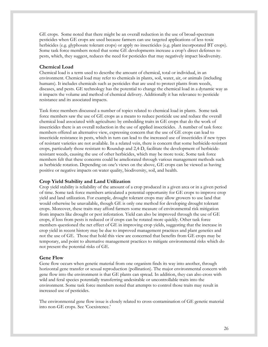GE crops. Some noted that there might be an overall reduction in the use of broad-spectrum pesticides when GE crops are used because farmers can use targeted applications of less toxic herbicides (e.g. glyphosate tolerant crops) or apply no insecticides (e.g. plant incorporated BT crops). Some task force members noted that some GE developments increase a crop's direct defenses to pests, which, they suggest, reduces the need for pesticides that may negatively impact biodiversity.

#### **Chemical Load**

Chemical load is a term used to describe the amount of chemical, total or individual, in an environment. Chemical load may refer to chemicals in plants, soil, water, air, or animals (including humans). It includes chemicals such as pesticides that are used to protect plants from weeds, diseases, and pests. GE technology has the potential to change the chemical load in a dynamic way as it impacts the volume and method of chemical delivery. Additionally it has relevance to pesticide resistance and its associated impacts.

Task force members discussed a number of topics related to chemical load in plants. Some task force members saw the use of GE crops as a means to reduce pesticide use and reduce the overall chemical load associated with agriculture: by embedding traits in GE crops that do the work of insecticides there is an overall reduction in the use of applied insecticides. A number of task force members offered an alternative view, expressing concern that the use of GE crops can lead to insecticide resistance in pests, which in turn can lead to the increased use of insecticides if new types of resistant varieties are not available. In a related vein, there is concern that some herbicide-resistant crops, particularly those resistant to Roundup and 2,4-D, facilitate the development of herbicideresistant weeds, causing the use of other herbicides, which may be more toxic. Some task force members felt that these concerns could be ameliorated through various management methods such as herbicide rotation. Depending on one's views on the above, GE crops can be viewed as having positive or negative impacts on water quality, biodiversity, soil, and health.

#### **Crop Yield Stability and Land Utilization**

Crop yield stability is reliability of the amount of a crop produced in a given area or in a given period of time. Some task force members articulated a potential opportunity for GE crops to improve crop yield and land utilization. For example, drought tolerant crops may allow growers to use land that would otherwise be unavailable, though GE is only one method for developing drought tolerant crops. Moreover, these traits may afford farmers some measure of environmental risk mitigation from impacts like drought or pest infestation. Yield can also be improved through the use of GE crops, if loss from pests is reduced or if crops can be rotated more quickly. Other task force members questioned the net effect of GE in improving crop yields, suggesting that the increase in crop yield in recent history may be due to improved management practices and plant genetics and not the use of GE. Those that hold this view are concerned that benefits from GE crops may be temporary, and point to alternative management practices to mitigate environmental risks which do not present the potential risks of GE.

#### **Gene Flow**

Gene flow occurs when genetic material from one organism finds its way into another, through horizontal gene transfer or sexual reproduction (pollination). The major environmental concern with gene flow into the environment is that GE plants can spread. In addition, they can also cross with wild and feral species potentially transferring undesirable or uncontrollable traits into the environment. Some task force members noted that attempts to control those traits may result in increased use of pesticides.

The environmental gene flow issue is closely related to cross-contamination of GE genetic material into non-GE crops. See 'Coexistence.'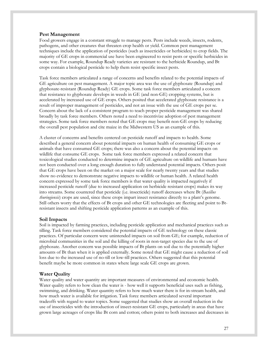#### **Pest Management**

Food growers engage in a constant struggle to manage pests. Pests include weeds, insects, rodents, pathogens, and other creatures that threaten crop health or yield. Common pest management techniques include the application of pesticides (such as insecticides or herbicides) to crop fields. The majority of GE crops in commercial use have been engineered to resist pests or specific herbicides in some way. For example, Roundup Ready varieties are resistant to the herbicide Roundup, and Bt crops contain a biological pesticide to help them resist specific insect pests.

Task force members articulated a range of concerns and benefits related to the potential impacts of GE agriculture on pest management. A major topic area was the use of glyphosate (Roundup) and glyphosate-resistant (Roundup Ready) GE crops. Some task force members articulated a concern that resistance to glyphosate develops in weeds in GE (and non-GE) cropping systems, but is accelerated by increased use of GE crops. Others posited that accelerated glyphosate resistance is a result of improper management of pesticides, and not an issue with the use of GE crops per se. Concern about the lack of a consistent program to teach proper pesticide management was shared broadly by task force members. Others noted a need to incentivize adoption of pest management strategies. Some task force members noted that GE crops may benefit non-GE crops by reducing the overall pest population and cite maize in the Midwestern US as an example of this.

A cluster of concerns and benefits centered on pesticide runoff and impacts to health. Some described a general concern about potential impacts on human health of consuming GE crops or animals that have consumed GE crops; there was also a concern about the potential impacts on wildlife that consume GE crops. Some task force members expressed a related concern that toxicological studies conducted to determine impacts of GE agriculture on wildlife and humans have not been conducted over a long enough duration to fully understand potential impacts. Others posit that GE crops have been on the market on a major scale for nearly twenty years and that studies show no evidence to demonstrate negative impacts to wildlife or human health. A related health concern expressed by some task force members is that water quality is impacted negatively if increased pesticide runoff (due to increased application on herbicide resistant crops) makes its way into streams. Some countered that pesticide (i.e. insecticide) runoff decreases where Bt (*Bacillus thuringiensis*) crops are used, since these crops impart insect resistance directly to a plant's genome. Still others worry that the effects of Bt crops and other GE technologies are fleeting and point to Btresistant insects and shifting pesticide application patterns as an example of this.

#### **Soil Impacts**

Soil is impacted by farming practices, including pesticide application and mechanical practices such as tilling. Task force members considered the potential impacts of GE technology on these classic practices. Of particular concern were unintended impacts on soil from GE; for example, reduction of microbial communities in the soil and the killing of roots in non-target species due to the use of glyphosate. Another concern was possible impacts of Bt plants on soil due to the potentially higher amounts of Bt than when it is applied externally. Some noted that GE might cause a reduction of soil loss due to the increased use of no-till or low-till practices. Others suggested that this potential benefit maybe be more common in states where large scale GE crops are grown.

#### **Water Quality**

Water quality and water quantity are important measures of environmental and economic health. Water quality refers to how clean the water is - how well it supports beneficial uses such as fishing, swimming, and drinking. Water quantity refers to how much water there is for in-stream health, and how much water is available for irrigation. Task force members articulated several important tradeoffs with regard to water topics. Some suggested that studies show an overall reduction in the use of insecticides with the introduction of insect-resistant GE crops, particularly in areas that have grown large acreages of crops like Bt corn and cotton; others point to both increases and decreases in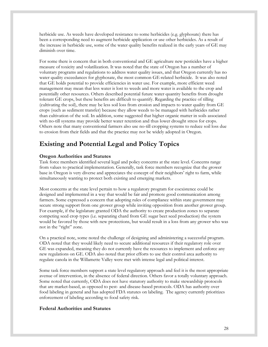herbicide use. As weeds have developed resistance to some herbicides (e.g. glyphosate) there has been a corresponding need to augment herbicide application or use other herbicides. As a result of the increase in herbicide use, some of the water quality benefits realized in the early years of GE may diminish over time.

For some there is concern that in both conventional and GE agriculture new pesticides have a higher measure of toxicity and volatilization. It was noted that the state of Oregon has a number of voluntary programs and regulations to address water quality issues, and that Oregon currently has no water quality exceedances for glyphosate, the most common GE-related herbicide. It was also noted that GE holds potential to provide efficiencies in water use. For example, more efficient weed management may mean that less water is lost to weeds and more water is available to the crop and potentially other resources. Others described potential future water quantity benefits from drought tolerant GE crops, but these benefits are difficult to quantify. Regarding the practice of tilling (cultivating the soil), there may be less soil loss from erosion and impacts to water quality from GE crops (such as sediment transfer) because they allow weeds to be managed with herbicides rather than cultivation of the soil. In addition, some suggested that higher organic matter in soils associated with no-till systems may provide better water retention and thus lower drought stress for crops. Others note that many conventional farmers also use no-till cropping systems to reduce soil loss due to erosion from their fields and that the practice may not be widely adopted in Oregon.

# **Existing and Potential Legal and Policy Topics**

#### **Oregon Authorities and Statutes**

Task force members identified several legal and policy concerns at the state level. Concerns range from values to practical implementation. Generally, task force members recognize that the grower base in Oregon is very diverse and appreciates the concept of their neighbors' right to farm, while simultaneously wanting to protect both existing and emerging markets.

Most concerns at the state level pertain to how a regulatory program for coexistence could be designed and implemented in a way that would be fair and promote good communication among farmers. Some expressed a concern that adopting rules of compliance within state government may secure strong support from one grower group while inviting opposition from another grower group. For example, if the legislature granted ODA the authority to create production zones to separate competing seed crop types (i.e. separating chard from GE sugar beet seed production) the system would be favored by those with new protections, but would result in a loss from any grower who was not in the "right" zone.

On a practical note, some noted the challenge of designing and administering a successful program. ODA noted that they would likely need to secure additional resources if their regulatory role over GE was expanded, meaning they do not currently have the resources to implement and enforce any new regulations on GE. ODA also noted that prior efforts to use their control area authority to regulate canola in the Willamette Valley were met with intense legal and political interest.

Some task force members support a state level regulatory approach and feel it is the most appropriate avenue of intervention, in the absence of federal direction. Others favor a totally voluntary approach. Some noted that currently, ODA does not have statutory authority to make stewardship protocols that are market-based, as opposed to pest- and disease-based protocols. ODA has authority over food labeling in general and has adopted FDA statutes on labeling. The agency currently prioritizes enforcement of labeling according to food safety risk.

#### **Federal Authorities and Statutes**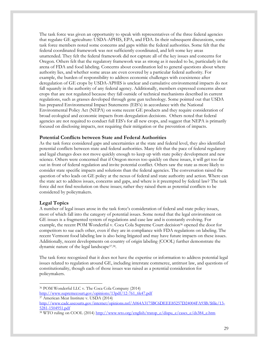The task force was given an opportunity to speak with representatives of the three federal agencies that regulate GE agriculture: USDA-APHIS, EPA, and FDA. In their subsequent discussions, some task force members noted some concerns and gaps within the federal authorities. Some felt that the federal coordinated framework was not sufficiently coordinated, and left some key areas unattended. They felt the federal framework did not capture all of the key issues and concerns for Oregon. Others felt that the regulatory framework was as strong as it needed to be, particularly in the arena of FDA and food labeling. Concerns about coordination led to general questions about where authority lies, and whether some areas are even covered by a particular federal authority. For example, the burden of responsibility to address economic challenges with coexistence after deregulation of GE crops by USDA-APHIS is unclear and cumulative environmental impacts do not fall squarely in the authority of any federal agency. Additionally, members expressed concerns about crops that are not regulated because they fall outside of technical mechanisms described in current regulations, such as grasses developed through gene gun technology. Some pointed out that USDA has prepared Environmental Impact Statements (EIS's) in accordance with the National Environmental Policy Act (NEPA) on some recent GE products and they require consideration of broad ecological and economic impacts from deregulation decisions. Others noted that federal agencies are not required to conduct full EIS's for all new crops, and suggest that NEPA is primarily focused on disclosing impacts, not requiring their mitigation or the prevention of impacts.

#### **Potential Conflicts between State and Federal Authorities**

As the task force considered gaps and uncertainties at the state and federal level, they also identified potential conflicts between state and federal authorities. Many felt that the pace of federal regulatory and legal changes does not move quickly enough to keep up with state policy development and new science. Others were concerned that if Oregon moves too quickly on these issues, it will get too far out in front of federal regulation and invite potential conflict. Others saw the state as more likely to consider state specific impacts and solutions than the federal agencies. The conversation raised the question of who leads on GE policy at the nexus of federal and state authority and action. Where can the state act to address issues, concerns and gaps, and where is it preempted by federal law? The task force did not find resolution on these issues; rather they raised them as potential conflicts to be considered by policymakers.

#### **Legal Topics**

 $\overline{a}$ 

A number of legal issues arose in the task force's consideration of federal and state policy issues, most of which fall into the category of potential issues. Some noted that the legal environment on GE issues is a fragmented system of regulations and case law and is constantly evolving. For example, the recent POM Wonderful v. Coca Cola Supreme Court decision<sup>36</sup> opened the door for competitors to sue each other, even if they are in compliance with FDA regulations on labeling. The recent Vermont food labeling law is also being litigated and may have future impacts on these issues. Additionally, recent developments on country of origin labeling (COOL) further demonstrate the dynamic nature of the legal landscape37,38 .

The task force recognized that it does not have the expertise or information to address potential legal issues related to regulation around GE, including interstate commerce, antitrust law, and questions of constitutionality, though each of those issues was raised as a potential consideration for policymakers.

<sup>36</sup> POM Wonderful LLC v. The Coca Cola Company (2014) [http://www.supremecourt.gov/opinions/13pdf/12-761\\_6k47.pdf](http://www.supremecourt.gov/opinions/13pdf/12-761_6k47.pdf)

<sup>37</sup> American Meat Institute v. USDA (2014)

[http://www.cadc.uscourts.gov/internet/opinions.nsf/A064A3175BC6DEEE85257D24004FA93B/\\$file/13-](http://www.cadc.uscourts.gov/internet/opinions.nsf/A064A3175BC6DEEE85257D24004FA93B/$file/13-5281-1504951.pdf) [5281-1504951.pdf](http://www.cadc.uscourts.gov/internet/opinions.nsf/A064A3175BC6DEEE85257D24004FA93B/$file/13-5281-1504951.pdf)

<sup>&</sup>lt;sup>38</sup> WTO ruling on COOL (2014) [http://www.wto.org/english/tratop\\_e/dispu\\_e/cases\\_e/ds384\\_e.htm](http://www.wto.org/english/tratop_e/dispu_e/cases_e/ds384_e.htm)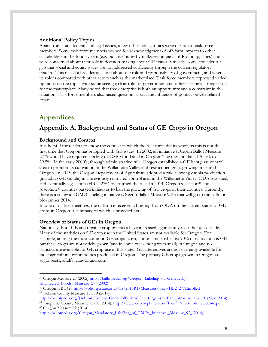#### **Additional Policy Topics**

Apart from state, federal, and legal issues, a few other policy topics were of note to task force members. Some task force members wished for acknowledgment of off-farm impacts to other stakeholders in the food system (e.g. putative butterfly-milkweed impacts of Roundup; cities) and were concerned about their role in decision-making about GE issues. Similarly, some consider it a gap that social and equity issues are not addressed sufficiently through the current regulatory system. This raised a broader question about the role and responsibility of government, and where its role is compared with other actors such as the marketplace. Task force members expressed varied opinions on the topic, with some seeing a clear role for government and others seeing a stronger role for the marketplace. Many noted that free enterprise is both an opportunity and a constraint in this situation. Task force members also raised questions about the influence of politics on GE related topics.

### **Appendices**

### **Appendix A. Background and Status of GE Crops in Oregon**

#### **Background and Context**

It is helpful for readers to know the context in which the task force did its work, as this is not the first time that Oregon has grappled with GE issues. In 2002, an initiative (Oregon Ballot Measure 2739) would have required labeling of GMO food sold in Oregon. The measure failed 70.5% to 29.5%. In the early 2000's, through administrative rule, Oregon established a GE bentgrass control area to prohibit its cultivation in the Willamette Valley and restrict bentgrass growing in central Oregon. In 2013, the Oregon Department of Agriculture adopted a rule allowing canola production (including GE canola) in a previously restricted control area in the Willamette Valley. ODA was sued, and eventually legislation (HB 2427 $40$ ) overturned the rule. In 2014, Oregon's Jackson $41$  and Josephine<sup>42</sup> counties passed initiatives to ban the growing of GE crops in their counties. Currently, there is a statewide GMO labeling initiative (Oregon Ballot Measure 9243) that will go to the ballot in November 2014.

In one of its first meetings, the taskforce received a briefing from ODA on the current status of GE crops in Oregon, a summary of which is provided here.

#### **Overview of Status of GEs in Oregon**

Nationally, both GE and organic crop practices have increased significantly over the past decade. Many of the statistics on GE crop use in the United States are not available for Oregon. For example, among the most common GE crops (corn, cotton, and soybeans) 90% of cultivation is GE but these crops are not widely grown (and in some cases, not grown at all) in Oregon and no statistics are available for GE crop use in this state. GE alternatives are not currently available for most agricultural commodities produced in Oregon. The primary GE crops grown in Oregon are sugar beets, alfalfa, canola, and corn.

<sup>43</sup> Oregon Measure 92 (2014).

<sup>&</sup>lt;sup>39</sup> Oregon Measure 27 (2002) [http://ballotpedia.org/Oregon\\_Labeling\\_of\\_Genetically-](http://ballotpedia.org/Oregon_Labeling_of_Genetically-Engineered_Foods,_Measure_27_(2002))[Engineered\\_Foods,\\_Measure\\_27\\_\(2002\)](http://ballotpedia.org/Oregon_Labeling_of_Genetically-Engineered_Foods,_Measure_27_(2002))

<sup>40</sup> Oregon HB 3427<https://olis.leg.state.or.us/liz/2013R1/Measures/Text/HB2427/Enrolled> <sup>41</sup> Jackson County Measure 15-119 (2014).

[http://ballotpedia.org/Jackson\\_County\\_Genetically\\_Modified\\_Organism\\_Ban,\\_Measure\\_15-119\\_\(May\\_2014\)](http://ballotpedia.org/Jackson_County_Genetically_Modified_Organism_Ban,_Measure_15-119_(May_2014)) 42 Josephine County Measure 17-58 (2014).<http://www.co.josephine.or.us/files/17-58ballottitlewebsite.pdf>

[http://ballotpedia.org/Oregon\\_Mandatory\\_Labeling\\_of\\_GMOs\\_Initiative,\\_Measure\\_92\\_\(2014\)](http://ballotpedia.org/Oregon_Mandatory_Labeling_of_GMOs_Initiative,_Measure_92_(2014))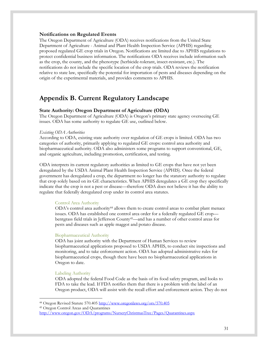#### **Notifications on Regulated Events**

The Oregon Department of Agriculture (ODA) receives notifications from the United State Department of Agriculture - Animal and Plant Health Inspection Service (APHIS) regarding proposed regulated GE crop trials in Oregon. Notifications are limited due to APHIS regulations to protect confidential business information. The notifications ODA receives include information such as the crop, the county, and the phenotype (herbicide-tolerant, insect-resistant, etc.). The notifications do not include the specific location of the crop trials. ODA reviews the notification relative to state law, specifically the potential for importation of pests and diseases depending on the origin of the experimental materials, and provides comments to APHIS.

### **Appendix B. Current Regulatory Landscape**

#### **State Authority: Oregon Department of Agriculture (ODA)**

The Oregon Department of Agriculture (ODA) is Oregon's primary state agency overseeing GE issues. ODA has some authority to regulate GE use, outlined below.

#### *Existing ODA Authorities*

According to ODA, existing state authority over regulation of GE crops is limited. ODA has two categories of authority, primarily applying to regulated GE crops: control area authority and biopharmaceutical authority. ODA also administers some programs to support conventional, GE, and organic agriculture, including promotion, certification, and testing.

ODA interprets its current regulatory authorities as limited to GE crops that have not yet been deregulated by the USDA Animal Plant Health Inspection Service (APHIS). Once the federal government has deregulated a crop, the department no longer has the statutory authority to regulate that crop solely based on its GE characteristics. When APHIS deregulates a GE crop they specifically indicate that the crop is not a pest or disease—therefore ODA does not believe it has the ability to regulate that federally deregulated crop under its control area statutes.

#### Control Area Authority

ODA's control area authority<sup>44</sup> allows them to create control areas to combat plant menace issues. ODA has established one control area order for a federally regulated GE crop bentgrass field trials in Jefferson County45—and has a number of other control areas for pests and diseases such as apple maggot and potato disease.

#### Biopharmaceutical Authority

ODA has joint authority with the Department of Human Services to review biopharmaceutical applications proposed to USDA APHIS, to conduct site inspections and monitoring, and to take enforcement action. ODA has adopted administrative rules for biopharmaceutical crops, though there have been no biopharmaceutical applications in Oregon to date.

#### Labeling Authority

ODA adopted the federal Food Code as the basis of its food safety program, and looks to FDA to take the lead. If FDA notifies them that there is a problem with the label of an Oregon product, ODA will assist with the recall effort and enforcement action. They do not

<sup>44</sup> Oregon Revised Statute 570.405<http://www.oregonlaws.org/ors/570.405>

<sup>45</sup> Oregon Control Areas and Quarantines

<http://www.oregon.gov/ODA/programs/NurseryChristmasTree/Pages/Quarantines.aspx>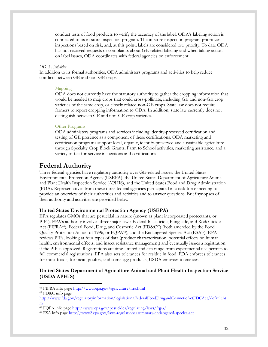conduct tests of food products to verify the accuracy of the label. ODA's labeling action is connected to its in-store inspection program. The in-store inspection program prioritizes inspections based on risk, and, at this point, labels are considered low priority. To date ODA has not received requests or complaints about GE-related labeling and when taking action on label issues, ODA coordinates with federal agencies on enforcement.

#### *ODA Activities*

In addition to its formal authorities, ODA administers programs and activities to help reduce conflicts between GE and non-GE crops.

#### Mapping

ODA does not currently have the statutory authority to gather the cropping information that would be needed to map crops that could cross-pollinate, including GE and non-GE crop varieties of the same crop, or closely related non-GE crops. State law does not require farmers to report cropping information to ODA. In addition, state law currently does not distinguish between GE and non-GE crop varieties.

#### Other Programs

ODA administers programs and services including identity-preserved certification and testing of GE presence as a component of these certifications. ODA marketing and certification programs support local, organic, identify-preserved and sustainable agriculture through Specialty Crop Block Grants, Farm to School activities, marketing assistance, and a variety of fee-for-service inspections and certifications

### **Federal Authority**

Three federal agencies have regulatory authority over GE-related issues: the United States Environmental Protection Agency (USEPA), the United States Department of Agriculture Animal and Plant Health Inspection Service (APHIS), and the United States Food and Drug Administration (FDA). Representatives from these three federal agencies participated in a task force meeting to provide an overview of their authorities and activities and to answer questions. Brief synopses of their authority and activities are provided below.

#### **United States Environmental Protection Agency (USEPA)**

EPA regulates GMOs that are pesticidal in nature (known as plant incorporated protectants, or PIPs). EPA's authority involves three major laws: Federal Insecticide, Fungicide, and Rodenticide Act (FIFRA46), Federal Food, Drug, and Cosmetic Act (FD&C47) (both amended by the Food Quality Protection Action of 1996, or FQPA48), and the Endangered Species Act (ESA49). EPA reviews PIPs, looking at four types of data (product characterization, potential effects on human health, environmental effects, and insect resistance management) and eventually issues a registration if the PIP is approved. Registrations are time-limited and can range from experimental use permits to full commercial registrations. EPA also sets tolerances for residue in food. FDA enforces tolerances for most foods; for meat, poultry, and some egg products, USDA enforces tolerances.

#### **United States Department of Agriculture Animal and Plant Health Inspection Service (USDA APHIS)**

<sup>46</sup> FIFRA info page<http://www.epa.gov/agriculture/lfra.html>

<sup>47</sup> FD&C info page

[http://www.fda.gov/regulatoryinformation/legislation/FederalFoodDrugandCosmeticActFDCAct/default.ht](http://www.fda.gov/regulatoryinformation/legislation/FederalFoodDrugandCosmeticActFDCAct/default.htm) [m](http://www.fda.gov/regulatoryinformation/legislation/FederalFoodDrugandCosmeticActFDCAct/default.htm)

<sup>48</sup> FQPA info page<http://www.epa.gov/pesticides/regulating/laws/fqpa/>

<sup>49</sup> ESA info page<http://www2.epa.gov/laws-regulations/summary-endangered-species-act>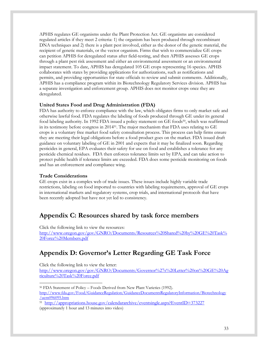APHIS regulates GE organisms under the Plant Protection Act. GE organisms are considered regulated articles if they meet 2 criteria: 1) the organism has been produced through recombinant DNA techniques and 2) there is a plant pest involved, either as the donor of the genetic material, the recipient of genetic materials, or the vector organism. Firms that wish to commercialize GE crops can petition APHIS for deregulated status after field-testing, and then APHIS assesses GE crops through a plant pest risk assessment and either an environmental assessment or an environmental impact statement. To date, APHIS has deregulated 105 GE crops representing 16 species. APHIS collaborates with states by providing applications for authorizations, such as notifications and permits, and providing opportunities for state officials to review and submit comments. Additionally, APHIS has a compliance program within its Biotechnology Regulatory Services division. APHIS has a separate investigation and enforcement group. APHIS does not monitor crops once they are deregulated.

#### **United States Food and Drug Administration (FDA)**

FDA has authority to enforce compliance with the law, which obligates firms to only market safe and otherwise lawful food. FDA regulates the labeling of foods produced through GE under its general food labeling authority. In 1992 FDA issued a policy statement on GE foods<sup>50</sup>, which was reaffirmed in its testimony before congress in 2014<sup>51</sup> . The major mechanism that FDA uses relating to GE crops is a voluntary free market food safety consultation process. This process can help firms ensure they are meeting their legal obligations before a food product goes on the market. FDA issued draft guidance on voluntary labeling of GE in 2001 and expects that it may be finalized soon. Regarding pesticides in general, EPA evaluates their safety for use on food and establishes a tolerance for any pesticide chemical residues. FDA then enforces tolerance limits set by EPA, and can take action to protect public health if tolerance limits are exceeded. FDA does some pesticide monitoring on foods and has an enforcement and compliance wing.

#### **Trade Considerations**

GE crops exist in a complex web of trade issues. These issues include highly variable trade restrictions, labeling on food imported to countries with labeling requirements, approval of GE crops in international markets and regulatory systems, crop trials, and international protocols that have been recently adopted but have not yet led to consistency.

### **Appendix C: Resources shared by task force members**

Click the following link to view the resources: [http://www.oregon.gov/gov/GNRO/Documents/Resources%20Shared%20by%20GE%20Task%](http://www.oregon.gov/gov/GNRO/Documents/Resources%20Shared%20by%20GE%20Task%20Force%20Members.pdf) [20Force%20Members.pdf](http://www.oregon.gov/gov/GNRO/Documents/Resources%20Shared%20by%20GE%20Task%20Force%20Members.pdf)

## **Appendix D: Governor's Letter Regarding GE Task Force**

Click the following link to view the letter:

[http://www.oregon.gov/gov/GNRO/Documents/Governor%27s%20Letter%20on%20GE%20Ag](http://www.oregon.gov/gov/GNRO/Documents/Governor%27s%20Letter%20on%20GE%20Agriculture%20Task%20Force.pdf) [riculture%20Task%20Force.pdf](http://www.oregon.gov/gov/GNRO/Documents/Governor%27s%20Letter%20on%20GE%20Agriculture%20Task%20Force.pdf)

 $\overline{a}$ <sup>50</sup> FDA Statement of Policy – Foods Derived from New Plant Varieties (1992). [http://www.fda.gov/Food/GuidanceRegulation/GuidanceDocumentsRegulatoryInformation/Biotechnology](http://www.fda.gov/Food/GuidanceRegulation/GuidanceDocumentsRegulatoryInformation/Biotechnology/ucm096095.htm) [/ucm096095.htm](http://www.fda.gov/Food/GuidanceRegulation/GuidanceDocumentsRegulatoryInformation/Biotechnology/ucm096095.htm)

<sup>51</sup> <http://appropriations.house.gov/calendararchive/eventsingle.aspx?EventID=373227> (approximately 1 hour and 13 minutes into video)